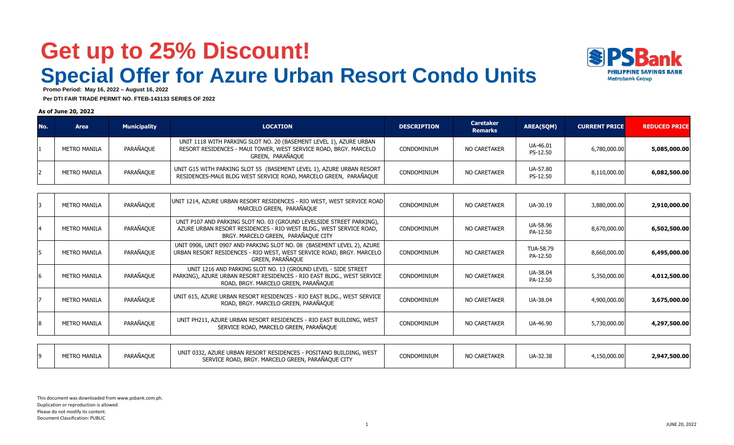## **Get up to 25% Discount!Special Offer for Azure Urban Resort Condo Units**



 **Promo Period: May 16, 2022 – August 16, 2022**

 **Per DTI FAIR TRADE PERMIT NO. FTEB-143133 SERIES OF 2022**

### **As of June 20, 2022**

| No. | <b>Area</b>         | <b>Municipality</b> | <b>LOCATION</b>                                                                                                                                                                                                                                                                                                                    | <b>DESCRIPTION</b> | <b>Caretaker</b><br><b>Remarks</b> | <b>AREA(SQM)</b>     | <b>CURRENT PRICE</b> | <b>REDUCED PRICE</b> |
|-----|---------------------|---------------------|------------------------------------------------------------------------------------------------------------------------------------------------------------------------------------------------------------------------------------------------------------------------------------------------------------------------------------|--------------------|------------------------------------|----------------------|----------------------|----------------------|
|     | <b>METRO MANILA</b> | PARAÑAQUE           | UNIT 1118 WITH PARKING SLOT NO. 20 (BASEMENT LEVEL 1), AZURE URBAN<br>RESORT RESIDENCES - MAUI TOWER, WEST SERVICE ROAD, BRGY. MARCELO<br>GREEN, PARAÑAOUE                                                                                                                                                                         | CONDOMINIUM        | NO CARETAKER                       | UA-46.01<br>PS-12.50 | 6,780,000.00         | 5,085,000.00         |
|     | <b>METRO MANILA</b> | PARAÑAQUE           | UNIT G15 WITH PARKING SLOT 55 (BASEMENT LEVEL 1), AZURE URBAN RESORT<br>RESIDENCES-MAUI BLDG WEST SERVICE ROAD, MARCELO GREEN, PARAÑAQUE                                                                                                                                                                                           | CONDOMINIUM        | NO CARETAKER                       | UA-57.80<br>PS-12.50 | 8,110,000.00         | 6,082,500.00         |
|     |                     |                     |                                                                                                                                                                                                                                                                                                                                    |                    |                                    |                      |                      |                      |
|     | <b>METRO MANILA</b> | PARAÑAQUE           | UNIT 1214, AZURE URBAN RESORT RESIDENCES - RIO WEST, WEST SERVICE ROAD<br>MARCELO GREEN, PARAÑAOUE                                                                                                                                                                                                                                 | CONDOMINIUM        | NO CARETAKER                       | UA-30.19             | 3,880,000.00         | 2,910,000.00         |
|     | <b>METRO MANILA</b> | PARAÑAQUE           | UNIT P107 AND PARKING SLOT NO. 03 (GROUND LEVELSIDE STREET PARKING),<br>AZURE URBAN RESORT RESIDENCES - RIO WEST BLDG., WEST SERVICE ROAD,<br>BRGY, MARCELO GREEN, PARAÑAOUE CITY                                                                                                                                                  | <b>CONDOMINIUM</b> | NO CARETAKER                       | UA-58.96<br>PA-12.50 | 8,670,000.00         | 6,502,500.00         |
|     |                     |                     | $\mathbf{1}$ $\mathbf{1}$ $\mathbf{1}$ $\mathbf{1}$ $\mathbf{1}$ $\mathbf{1}$ $\mathbf{1}$ $\mathbf{1}$ $\mathbf{1}$ $\mathbf{1}$ $\mathbf{1}$ $\mathbf{1}$ $\mathbf{1}$ $\mathbf{1}$ $\mathbf{1}$ $\mathbf{1}$ $\mathbf{1}$ $\mathbf{1}$ $\mathbf{1}$ $\mathbf{1}$ $\mathbf{1}$ $\mathbf{1}$ $\mathbf{1}$ $\mathbf{1}$ $\mathbf{$ |                    |                                    |                      |                      |                      |

|                     |           | <b>DIGITION CLLO ONLLY, THUS WOOL CITT</b>                                                                                                                                      |             |              |                       |                                                              |
|---------------------|-----------|---------------------------------------------------------------------------------------------------------------------------------------------------------------------------------|-------------|--------------|-----------------------|--------------------------------------------------------------|
| <b>METRO MANILA</b> | PARAÑAQUE | UNIT 0906, UNIT 0907 AND PARKING SLOT NO. 08 (BASEMENT LEVEL 2), AZURE<br>URBAN RESORT RESIDENCES - RIO WEST, WEST SERVICE ROAD, BRGY. MARCELO<br>GREEN, PARAÑAQUE              | CONDOMINIUM | NO CARETAKER | TUA-58.79<br>PA-12.50 | 6,495,000.00                                                 |
| <b>METRO MANILA</b> | PARAÑAQUE | UNIT 1216 AND PARKING SLOT NO. 13 (GROUND LEVEL - SIDE STREET<br>PARKING), AZURE URBAN RESORT RESIDENCES - RIO EAST BLDG., WEST SERVICE<br>ROAD, BRGY. MARCELO GREEN, PARAÑAQUE | CONDOMINIUM | NO CARETAKER | UA-38.04<br>PA-12.50  | 4,012,500.00                                                 |
| <b>METRO MANILA</b> | PARAÑAQUE | UNIT 615, AZURE URBAN RESORT RESIDENCES - RIO EAST BLDG., WEST SERVICE<br>ROAD, BRGY. MARCELO GREEN, PARAÑAQUE                                                                  | CONDOMINIUM | NO CARETAKER | UA-38.04              | 3,675,000.00                                                 |
| <b>METRO MANILA</b> | PARAÑAQUE | UNIT PH211, AZURE URBAN RESORT RESIDENCES - RIO EAST BUILDING, WEST<br>SERVICE ROAD, MARCELO GREEN, PARAÑAQUE                                                                   | CONDOMINIUM | NO CARETAKER | UA-46.90              | 4,297,500.00                                                 |
|                     |           |                                                                                                                                                                                 |             |              |                       | 8,660,000.00<br>5,350,000.00<br>4,900,000.00<br>5,730,000.00 |

| ,150,000.00<br>2,947,500.00 | UA-32.38 | NO CARETAKEP | CONDOMINIUM | - POSITANO BUILDING, WEST<br>2. AZURE URBAN RESORT RESIDENCES -<br>UNIT 0332.,<br>- -<br>SERVICE ROAD, BRGY. MARCELO GREEN, PARAÑAQUE CITY | PARAÑAOUE | <b>METRO MANILA</b> |  |
|-----------------------------|----------|--------------|-------------|--------------------------------------------------------------------------------------------------------------------------------------------|-----------|---------------------|--|
|                             |          |              |             |                                                                                                                                            |           |                     |  |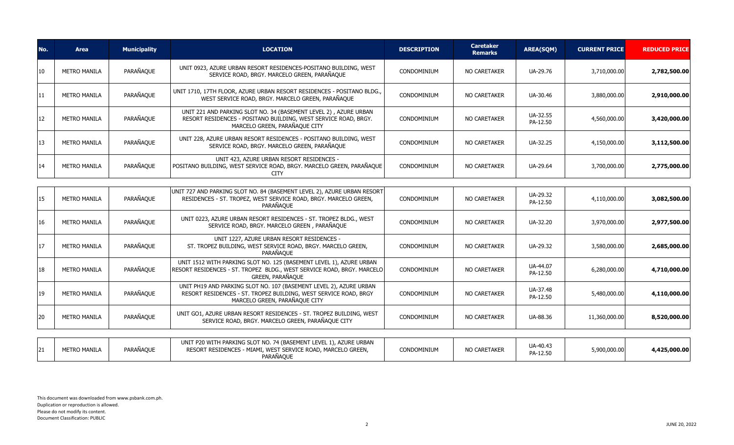| No. | <b>Area</b>         | <b>Municipality</b> | <b>LOCATION</b>                                                                                                                                                         | <b>DESCRIPTION</b> | <b>Caretaker</b><br><b>Remarks</b> | <b>AREA(SQM)</b>     | <b>CURRENT PRICE</b> | <b>REDUCED PRICE</b> |
|-----|---------------------|---------------------|-------------------------------------------------------------------------------------------------------------------------------------------------------------------------|--------------------|------------------------------------|----------------------|----------------------|----------------------|
| 10  | METRO MANILA        | PARAÑAQUE           | UNIT 0923, AZURE URBAN RESORT RESIDENCES-POSITANO BUILDING, WEST<br>SERVICE ROAD, BRGY. MARCELO GREEN, PARAÑAQUE                                                        | CONDOMINIUM        | <b>NO CARETAKER</b>                | UA-29.76             | 3,710,000.00         | 2,782,500.00         |
| 11  | <b>METRO MANILA</b> | PARAÑAQUE           | UNIT 1710, 17TH FLOOR, AZURE URBAN RESORT RESIDENCES - POSITANO BLDG.,<br>WEST SERVICE ROAD, BRGY. MARCELO GREEN, PARAÑAQUE                                             | CONDOMINIUM        | <b>NO CARETAKER</b>                | UA-30.46             | 3,880,000.00         | 2,910,000.00         |
| 12  | METRO MANILA        | PARAÑAQUE           | UNIT 221 AND PARKING SLOT NO. 34 (BASEMENT LEVEL 2), AZURE URBAN<br>RESORT RESIDENCES - POSITANO BUILDING, WEST SERVICE ROAD, BRGY.<br>MARCELO GREEN, PARAÑAQUE CITY    | <b>CONDOMINIUM</b> | NO CARETAKER                       | UA-32.55<br>PA-12.50 | 4,560,000.00         | 3,420,000.00         |
| 13  | METRO MANILA        | PARAÑAQUE           | UNIT 228, AZURE URBAN RESORT RESIDENCES - POSITANO BUILDING, WEST<br>SERVICE ROAD, BRGY. MARCELO GREEN, PARAÑAQUE                                                       | CONDOMINIUM        | <b>NO CARETAKER</b>                | UA-32.25             | 4,150,000.00         | 3,112,500.00         |
| 14  | METRO MANILA        | PARAÑAQUE           | UNIT 423, AZURE URBAN RESORT RESIDENCES -<br>POSITANO BUILDING, WEST SERVICE ROAD, BRGY. MARCELO GREEN, PARAÑAQUE<br><b>CITY</b>                                        | CONDOMINIUM        | <b>NO CARETAKER</b>                | UA-29.64             | 3,700,000.00         | 2,775,000.00         |
| 15  | <b>METRO MANILA</b> | PARAÑAQUE           | UNIT 727 AND PARKING SLOT NO. 84 (BASEMENT LEVEL 2), AZURE URBAN RESORT<br>RESIDENCES - ST. TROPEZ, WEST SERVICE ROAD, BRGY. MARCELO GREEN,<br>PARAÑAQUE                | <b>CONDOMINIUM</b> | <b>NO CARETAKER</b>                | UA-29.32<br>PA-12.50 | 4,110,000.00         | 3,082,500.00         |
| 16  | <b>METRO MANILA</b> | PARAÑAQUE           | UNIT 0223, AZURE URBAN RESORT RESIDENCES - ST. TROPEZ BLDG., WEST<br>SERVICE ROAD, BRGY. MARCELO GREEN, PARAÑAQUE                                                       | CONDOMINIUM        | <b>NO CARETAKER</b>                | UA-32.20             | 3,970,000.00         | 2,977,500.00         |
| 17  | <b>METRO MANILA</b> | PARAÑAQUE           | UNIT 1227, AZURE URBAN RESORT RESIDENCES -<br>ST. TROPEZ BUILDING, WEST SERVICE ROAD, BRGY. MARCELO GREEN,<br>PARAÑAOUE                                                 | CONDOMINIUM        | <b>NO CARETAKER</b>                | UA-29.32             | 3,580,000.00         | 2,685,000.00         |
| 18  | <b>METRO MANILA</b> | PARAÑAQUE           | UNIT 1512 WITH PARKING SLOT NO. 125 (BASEMENT LEVEL 1), AZURE URBAN<br>RESORT RESIDENCES - ST. TROPEZ BLDG., WEST SERVICE ROAD, BRGY. MARCELO<br>GREEN, PARAÑAQUE       | CONDOMINIUM        | <b>NO CARETAKER</b>                | UA-44.07<br>PA-12.50 | 6,280,000.00         | 4,710,000.00         |
| 19  | METRO MANILA        | PARAÑAQUE           | UNIT PH19 AND PARKING SLOT NO. 107 (BASEMENT LEVEL 2), AZURE URBAN<br>RESORT RESIDENCES - ST. TROPEZ BUILDING, WEST SERVICE ROAD, BRGY<br>MARCELO GREEN, PARAÑAQUE CITY | <b>CONDOMINIUM</b> | <b>NO CARETAKER</b>                | UA-37.48<br>PA-12.50 | 5,480,000.00         | 4,110,000.00         |
| 20  | METRO MANILA        | PARAÑAQUE           | UNIT GO1, AZURE URBAN RESORT RESIDENCES - ST. TROPEZ BUILDING, WEST<br>SERVICE ROAD, BRGY, MARCELO GREEN, PARAÑAOUE CITY                                                | CONDOMINIUM        | <b>NO CARETAKER</b>                | UA-88.36             | 11,360,000.00        | 8,520,000.00         |
|     |                     |                     | UNIT P20 WITH PARKING SLOT NO. 74 (BASEMENT LEVEL 1), AZURE URBAN                                                                                                       |                    |                                    |                      |                      |                      |
| 21  | <b>METRO MANILA</b> | PARAÑAQUE           | RESORT RESIDENCES - MIAMI, WEST SERVICE ROAD, MARCELO GREEN,<br>PARAÑAQUE                                                                                               | CONDOMINIUM        | <b>NO CARETAKER</b>                | UA-40.43<br>PA-12.50 | 5,900,000.00         | 4,425,000.00         |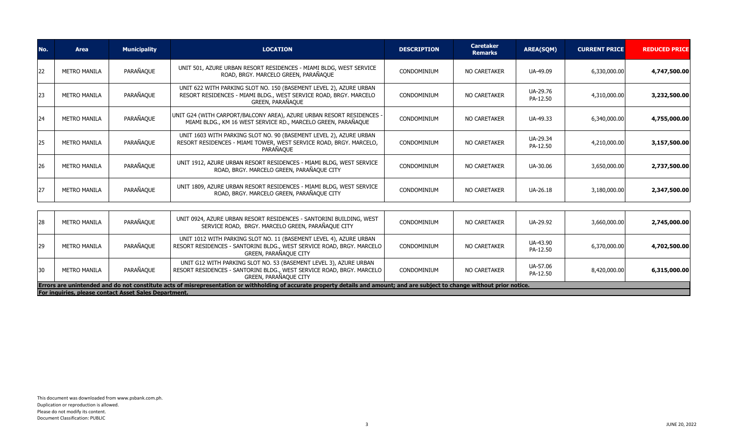| No. | <b>Area</b>         | <b>Municipality</b> | <b>LOCATION</b>                                                                                                                                             | <b>DESCRIPTION</b> | <b>Caretaker</b><br><b>Remarks</b> | <b>AREA(SQM)</b>     | <b>CURRENT PRICE</b> | <b>REDUCED PRICE</b> |
|-----|---------------------|---------------------|-------------------------------------------------------------------------------------------------------------------------------------------------------------|--------------------|------------------------------------|----------------------|----------------------|----------------------|
| 22  | <b>METRO MANILA</b> | PARAÑAQUE           | UNIT 501, AZURE URBAN RESORT RESIDENCES - MIAMI BLDG, WEST SERVICE<br>ROAD, BRGY. MARCELO GREEN, PARAÑAQUE                                                  | CONDOMINIUM        | <b>NO CARETAKER</b>                | UA-49.09             | 6,330,000.00         | 4,747,500.00         |
| 23  | <b>METRO MANILA</b> | PARAÑAQUE           | UNIT 622 WITH PARKING SLOT NO. 150 (BASEMENT LEVEL 2), AZURE URBAN<br>RESORT RESIDENCES - MIAMI BLDG., WEST SERVICE ROAD, BRGY. MARCELO<br>GREEN, PARAÑAQUE | CONDOMINIUM        | <b>NO CARETAKER</b>                | UA-29.76<br>PA-12.50 | 4,310,000.00         | 3,232,500.00         |
| 24  | <b>METRO MANILA</b> | PARAÑAQUE           | UNIT G24 (WITH CARPORT/BALCONY AREA), AZURE URBAN RESORT RESIDENCES<br>MIAMI BLDG., KM 16 WEST SERVICE RD., MARCELO GREEN, PARAÑAQUE                        | CONDOMINIUM        | NO CARETAKER                       | UA-49.33             | 6,340,000.00         | 4,755,000.00         |
| 25  | <b>METRO MANILA</b> | PARAÑAQUE           | UNIT 1603 WITH PARKING SLOT NO. 90 (BASEMENT LEVEL 2), AZURE URBAN<br>RESORT RESIDENCES - MIAMI TOWER, WEST SERVICE ROAD, BRGY. MARCELO,<br>PARAÑAQUE       | CONDOMINIUM        | <b>NO CARETAKER</b>                | UA-29.34<br>PA-12.50 | 4,210,000.00         | 3,157,500.00         |
| 26  | <b>METRO MANILA</b> | PARAÑAQUE           | UNIT 1912, AZURE URBAN RESORT RESIDENCES - MIAMI BLDG, WEST SERVICE<br>ROAD, BRGY. MARCELO GREEN, PARAÑAQUE CITY                                            | CONDOMINIUM        | NO CARETAKER                       | UA-30.06             | 3,650,000.00         | 2,737,500.00         |
| 27  | <b>METRO MANILA</b> | PARAÑAQUE           | UNIT 1809, AZURE URBAN RESORT RESIDENCES - MIAMI BLDG, WEST SERVICE<br>ROAD, BRGY, MARCELO GREEN, PARAÑAOUE CITY                                            | CONDOMINIUM        | NO CARETAKER                       | UA-26.18             | 3,180,000.00         | 2,347,500.00         |
|     |                     |                     |                                                                                                                                                             |                    |                                    |                      |                      |                      |
| 28  | <b>METRO MANILA</b> | PARAÑAQUE           | UNIT 0924, AZURE URBAN RESORT RESIDENCES - SANTORINI BUILDING, WEST<br>SERVICE ROAD, BRGY. MARCELO GREEN, PARAÑAQUE CITY                                    | CONDOMINIUM        | NO CARETAKER                       | UA-29.92             | 3,660,000.00         | 2,745,000.00         |
| 29  | <b>METRO MANILA</b> | PARAÑAOUE           | UNIT 1012 WITH PARKING SLOT NO. 11 (BASEMENT LEVEL 4), AZURE URBAN<br>RESORT RESIDENCES - SANTORINI BLDG., WEST SERVICE ROAD, BRGY, MARCELO                 | CONDOMINIUM        | NO CARETAKER                       | UA-43.90             | 6.370.000.00         | 4.702.500.00         |

| For inquiries, please contact Asset Sales Department.                                                                                                                         |              |           |                                                                                                                                                                         |             |              |                      |              |              |  |
|-------------------------------------------------------------------------------------------------------------------------------------------------------------------------------|--------------|-----------|-------------------------------------------------------------------------------------------------------------------------------------------------------------------------|-------------|--------------|----------------------|--------------|--------------|--|
| Errors are unintended and do not constitute acts of misrepresentation or withholding of accurate property details and amount; and are subject to change without prior notice. |              |           |                                                                                                                                                                         |             |              |                      |              |              |  |
|                                                                                                                                                                               | METRO MANILA | PARAÑAQUE | UNIT G12 WITH PARKING SLOT NO. 53 (BASEMENT LEVEL 3), AZURE URBAN<br>  RESORT RESIDENCES - SANTORINI BLDG., WEST SERVICE ROAD, BRGY. MARCELO  <br>GREEN, PARAÑAOUE CITY | CONDOMINIUM | NO CARETAKER | UA-57.06<br>PA-12.50 | 8,420,000.00 | 6,315,000.00 |  |
|                                                                                                                                                                               | METRO MANILA | PARAÑAQUE | RESORT RESIDENCES - SANTORINI BLDG., WEST SERVICE ROAD, BRGY. MARCELO  <br>GREEN, PARAÑAOUE CITY                                                                        | CONDOMINIUM | NO CARETAKER | UA-43.90<br>PA-12.50 | 6,370,000,00 | 4,702,500.00 |  |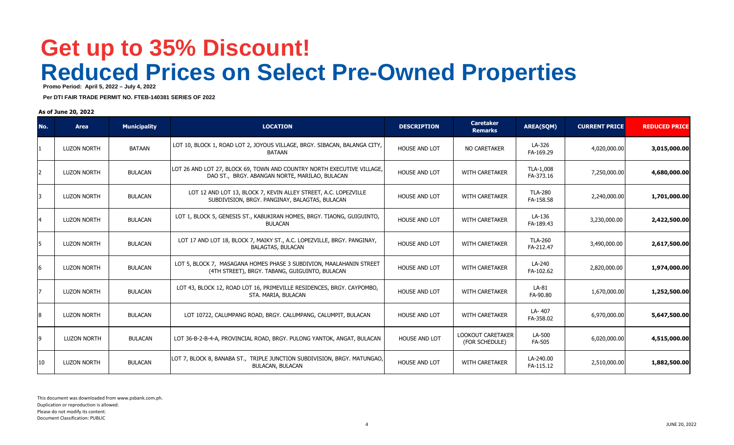## **Reduced Prices on Select Pre-Owned Properties Get up to 35% Discount!**

 **Promo Period: April 5, 2022 – July 4, 2022**

 **Per DTI FAIR TRADE PERMIT NO. FTEB-140381 SERIES OF 2022**

### **As of June 20, 2022**

| No. | <b>Area</b>        | <b>Municipality</b> | <b>LOCATION</b>                                                                                                          | <b>DESCRIPTION</b>   | <b>Caretaker</b><br><b>Remarks</b>         | <b>AREA(SQM)</b>            | <b>CURRENT PRICE</b> | <b>REDUCED PRICE</b> |
|-----|--------------------|---------------------|--------------------------------------------------------------------------------------------------------------------------|----------------------|--------------------------------------------|-----------------------------|----------------------|----------------------|
|     | <b>LUZON NORTH</b> | <b>BATAAN</b>       | LOT 10, BLOCK 1, ROAD LOT 2, JOYOUS VILLAGE, BRGY. SIBACAN, BALANGA CITY,<br><b>BATAAN</b>                               | <b>HOUSE AND LOT</b> | <b>NO CARETAKER</b>                        | LA-326<br>FA-169.29         | 4,020,000.00         | 3,015,000.00         |
|     | <b>LUZON NORTH</b> | <b>BULACAN</b>      | LOT 26 AND LOT 27, BLOCK 69, TOWN AND COUNTRY NORTH EXECUTIVE VILLAGE,<br>DAO ST., BRGY. ABANGAN NORTE, MARILAO, BULACAN | <b>HOUSE AND LOT</b> | <b>WITH CARETAKER</b>                      | TLA-1,008<br>FA-373.16      | 7,250,000.00         | 4,680,000.00         |
|     | <b>LUZON NORTH</b> | <b>BULACAN</b>      | LOT 12 AND LOT 13, BLOCK 7, KEVIN ALLEY STREET, A.C. LOPEZVILLE<br>SUBDIVISION, BRGY. PANGINAY, BALAGTAS, BULACAN        | <b>HOUSE AND LOT</b> | <b>WITH CARETAKER</b>                      | <b>TLA-280</b><br>FA-158.58 | 2,240,000.00         | 1,701,000.00         |
|     | <b>LUZON NORTH</b> | <b>BULACAN</b>      | LOT 1, BLOCK 5, GENESIS ST., KABUKIRAN HOMES, BRGY. TIAONG, GUIGUINTO,<br><b>BULACAN</b>                                 | <b>HOUSE AND LOT</b> | <b>WITH CARETAKER</b>                      | LA-136<br>FA-189.43         | 3,230,000.00         | 2,422,500.00         |
| 5   | <b>LUZON NORTH</b> | <b>BULACAN</b>      | LOT 17 AND LOT 18, BLOCK 7, MAIKY ST., A.C. LOPEZVILLE, BRGY. PANGINAY,<br><b>BALAGTAS, BULACAN</b>                      | <b>HOUSE AND LOT</b> | <b>WITH CARETAKER</b>                      | <b>TLA-260</b><br>FA-212.47 | 3,490,000.00         | 2,617,500.00         |
| 6   | <b>LUZON NORTH</b> | <b>BULACAN</b>      | LOT 5, BLOCK 7, MASAGANA HOMES PHASE 3 SUBDIVION, MAALAHANIN STREET<br>(4TH STREET), BRGY, TABANG, GUIGUINTO, BULACAN    | <b>HOUSE AND LOT</b> | <b>WITH CARETAKER</b>                      | LA-240<br>FA-102.62         | 2,820,000.00         | 1,974,000.00         |
|     | <b>LUZON NORTH</b> | <b>BULACAN</b>      | LOT 43, BLOCK 12, ROAD LOT 16, PRIMEVILLE RESIDENCES, BRGY. CAYPOMBO,<br>STA. MARIA, BULACAN                             | <b>HOUSE AND LOT</b> | <b>WITH CARETAKER</b>                      | $LA-81$<br>FA-90.80         | 1,670,000.00         | 1,252,500.00         |
| 8   | <b>LUZON NORTH</b> | <b>BULACAN</b>      | LOT 10722, CALUMPANG ROAD, BRGY. CALUMPANG, CALUMPIT, BULACAN                                                            | <b>HOUSE AND LOT</b> | <b>WITH CARETAKER</b>                      | LA-407<br>FA-358.02         | 6,970,000.00         | 5,647,500.00         |
| q   | <b>LUZON NORTH</b> | <b>BULACAN</b>      | LOT 36-B-2-B-4-A, PROVINCIAL ROAD, BRGY. PULONG YANTOK, ANGAT, BULACAN                                                   | <b>HOUSE AND LOT</b> | <b>LOOKOUT CARETAKER</b><br>(FOR SCHEDULE) | LA-500<br><b>FA-505</b>     | 6,020,000.00         | 4,515,000.00         |
| 10  | <b>LUZON NORTH</b> | <b>BULACAN</b>      | LOT 7, BLOCK 8, BANABA ST., TRIPLE JUNCTION SUBDIVISION, BRGY. MATUNGAO,<br><b>BULACAN, BULACAN</b>                      | <b>HOUSE AND LOT</b> | <b>WITH CARETAKER</b>                      | LA-240.00<br>FA-115.12      | 2,510,000.00         | 1,882,500.00         |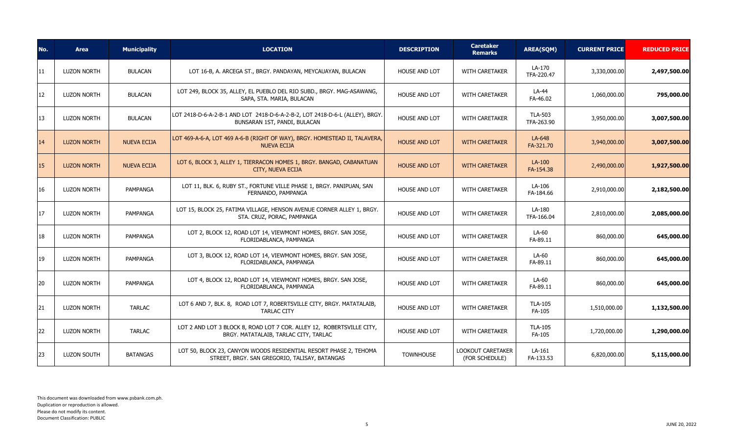| No. | <b>Area</b>        | <b>Municipality</b> | <b>LOCATION</b>                                                                                                    | <b>DESCRIPTION</b>   | <b>Caretaker</b><br><b>Remarks</b>         | <b>AREA(SQM)</b>             | <b>CURRENT PRICE</b> | <b>REDUCED PRICE</b> |
|-----|--------------------|---------------------|--------------------------------------------------------------------------------------------------------------------|----------------------|--------------------------------------------|------------------------------|----------------------|----------------------|
| 11  | <b>LUZON NORTH</b> | <b>BULACAN</b>      | LOT 16-B, A. ARCEGA ST., BRGY. PANDAYAN, MEYCAUAYAN, BULACAN                                                       | <b>HOUSE AND LOT</b> | <b>WITH CARETAKER</b>                      | LA-170<br>TFA-220.47         | 3,330,000.00         | 2,497,500.00         |
| 12  | <b>LUZON NORTH</b> | <b>BULACAN</b>      | LOT 249, BLOCK 35, ALLEY, EL PUEBLO DEL RIO SUBD., BRGY. MAG-ASAWANG,<br>SAPA, STA. MARIA, BULACAN                 | HOUSE AND LOT        | <b>WITH CARETAKER</b>                      | $LA-44$<br>FA-46.02          | 1,060,000.00         | 795,000.00           |
| 13  | <b>LUZON NORTH</b> | <b>BULACAN</b>      | LOT 2418-D-6-A-2-B-1 AND LOT 2418-D-6-A-2-B-2, LOT 2418-D-6-L (ALLEY), BRGY.<br>BUNSARAN 1ST, PANDI, BULACAN       | <b>HOUSE AND LOT</b> | <b>WITH CARETAKER</b>                      | <b>TLA-503</b><br>TFA-263.90 | 3,950,000.00         | 3,007,500.00         |
| 14  | <b>LUZON NORTH</b> | <b>NUEVA ECIJA</b>  | LOT 469-A-6-A, LOT 469 A-6-B (RIGHT OF WAY), BRGY. HOMESTEAD II, TALAVERA,<br><b>NUEVA ECIJA</b>                   | <b>HOUSE AND LOT</b> | <b>WITH CARETAKER</b>                      | LA-648<br>FA-321.70          | 3,940,000.00         | 3,007,500.00         |
| 15  | <b>LUZON NORTH</b> | <b>NUEVA ECIJA</b>  | LOT 6, BLOCK 3, ALLEY 1, TIERRACON HOMES 1, BRGY. BANGAD, CABANATUAN<br>CITY, NUEVA ECIJA                          | <b>HOUSE AND LOT</b> | <b>WITH CARETAKER</b>                      | LA-100<br>FA-154.38          | 2,490,000.00         | 1,927,500.00         |
| 16  | <b>LUZON NORTH</b> | PAMPANGA            | LOT 11, BLK. 6, RUBY ST., FORTUNE VILLE PHASE 1, BRGY. PANIPUAN, SAN<br>FERNANDO, PAMPANGA                         | <b>HOUSE AND LOT</b> | <b>WITH CARETAKER</b>                      | LA-106<br>FA-184.66          | 2,910,000.00         | 2,182,500.00         |
| 17  | <b>LUZON NORTH</b> | PAMPANGA            | LOT 15, BLOCK 25, FATIMA VILLAGE, HENSON AVENUE CORNER ALLEY 1, BRGY.<br>STA. CRUZ, PORAC, PAMPANGA                | HOUSE AND LOT        | <b>WITH CARETAKER</b>                      | LA-180<br>TFA-166.04         | 2,810,000.00         | 2,085,000.00         |
| 18  | LUZON NORTH        | PAMPANGA            | LOT 2, BLOCK 12, ROAD LOT 14, VIEWMONT HOMES, BRGY. SAN JOSE,<br>FLORIDABLANCA, PAMPANGA                           | <b>HOUSE AND LOT</b> | <b>WITH CARETAKER</b>                      | LA-60<br>FA-89.11            | 860,000.00           | 645,000.00           |
| 19  | LUZON NORTH        | PAMPANGA            | LOT 3, BLOCK 12, ROAD LOT 14, VIEWMONT HOMES, BRGY. SAN JOSE,<br>FLORIDABLANCA, PAMPANGA                           | HOUSE AND LOT        | WITH CARETAKER                             | LA-60<br>FA-89.11            | 860,000.00           | 645,000.00           |
| 20  | LUZON NORTH        | PAMPANGA            | LOT 4, BLOCK 12, ROAD LOT 14, VIEWMONT HOMES, BRGY. SAN JOSE,<br>FLORIDABLANCA, PAMPANGA                           | <b>HOUSE AND LOT</b> | <b>WITH CARETAKER</b>                      | LA-60<br>FA-89.11            | 860,000.00           | 645,000.00           |
| 21  | <b>LUZON NORTH</b> | <b>TARLAC</b>       | LOT 6 AND 7, BLK. 8, ROAD LOT 7, ROBERTSVILLE CITY, BRGY. MATATALAIB,<br><b>TARLAC CITY</b>                        | <b>HOUSE AND LOT</b> | <b>WITH CARETAKER</b>                      | <b>TLA-105</b><br>FA-105     | 1,510,000.00         | 1,132,500.00         |
| 22  | LUZON NORTH        | <b>TARLAC</b>       | LOT 2 AND LOT 3 BLOCK 8, ROAD LOT 7 COR. ALLEY 12, ROBERTSVILLE CITY,<br>BRGY. MATATALAIB, TARLAC CITY, TARLAC     | HOUSE AND LOT        | WITH CARETAKER                             | <b>TLA-105</b><br>FA-105     | 1,720,000.00         | 1,290,000.00         |
| 23  | LUZON SOUTH        | <b>BATANGAS</b>     | LOT 50, BLOCK 23, CANYON WOODS RESIDENTIAL RESORT PHASE 2, TEHOMA<br>STREET, BRGY. SAN GREGORIO, TALISAY, BATANGAS | <b>TOWNHOUSE</b>     | <b>LOOKOUT CARETAKER</b><br>(FOR SCHEDULE) | LA-161<br>FA-133.53          | 6,820,000.00         | 5,115,000.00         |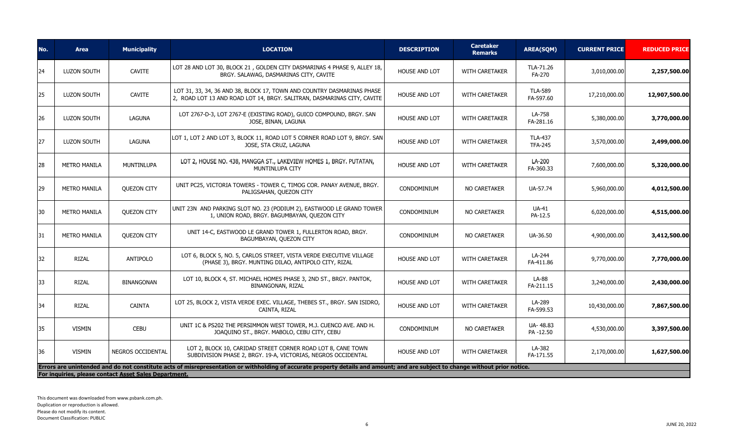| 24<br><b>LUZON SOUTH</b><br>25<br><b>LUZON SOUTH</b><br>26<br><b>LUZON SOUTH</b><br>27<br><b>LUZON SOUTH</b><br>28<br><b>METRO MANILA</b><br>29<br><b>METRO MANILA</b><br>30<br><b>METRO MANILA</b><br>31<br><b>METRO MANILA</b><br>32<br><b>RIZAL</b> | <b>CAVITE</b><br><b>CAVITE</b><br>LAGUNA<br>LAGUNA<br><b>MUNTINLUPA</b><br><b>OUEZON CITY</b> | LOT 28 AND LOT 30, BLOCK 21, GOLDEN CITY DASMARINAS 4 PHASE 9, ALLEY 18,<br>BRGY. SALAWAG, DASMARINAS CITY, CAVITE<br>LOT 31, 33, 34, 36 AND 38, BLOCK 17, TOWN AND COUNTRY DASMARINAS PHASE<br>2, ROAD LOT 13 AND ROAD LOT 14, BRGY. SALITRAN, DASMARINAS CITY, CAVITE<br>LOT 2767-D-3, LOT 2767-E (EXISTING ROAD), GUICO COMPOUND, BRGY. SAN<br>JOSE, BINAN, LAGUNA<br>LOT 1, LOT 2 AND LOT 3, BLOCK 11, ROAD LOT 5 CORNER ROAD LOT 9, BRGY. SAN<br>JOSE, STA CRUZ, LAGUNA<br>LOT 2, HOUSE NO. 438, MANGGA ST., LAKEVIEW HOMES 1, BRGY. PUTATAN,<br>MUNTINLUPA CITY<br>UNIT PC25, VICTORIA TOWERS - TOWER C, TIMOG COR. PANAY AVENUE, BRGY.<br>PALIGSAHAN, QUEZON CITY | <b>HOUSE AND LOT</b><br><b>HOUSE AND LOT</b><br>HOUSE AND LOT<br><b>HOUSE AND LOT</b><br><b>HOUSE AND LOT</b><br>CONDOMINIUM | <b>WITH CARETAKER</b><br><b>WITH CARETAKER</b><br>WITH CARETAKER<br><b>WITH CARETAKER</b><br><b>WITH CARETAKER</b><br><b>NO CARETAKER</b> | TLA-71.26<br>FA-270<br><b>TLA-589</b><br>FA-597.60<br>LA-758<br>FA-281.16<br><b>TLA-437</b><br><b>TFA-245</b><br>LA-200<br>FA-360.33<br>UA-57.74 | 3,010,000.00<br>17,210,000.00<br>5,380,000.00<br>3,570,000.00<br>7,600,000.00<br>5,960,000.00 | 2,257,500.00<br>12,907,500.00<br>3,770,000.00<br>2,499,000.00<br>5,320,000.00 |
|--------------------------------------------------------------------------------------------------------------------------------------------------------------------------------------------------------------------------------------------------------|-----------------------------------------------------------------------------------------------|--------------------------------------------------------------------------------------------------------------------------------------------------------------------------------------------------------------------------------------------------------------------------------------------------------------------------------------------------------------------------------------------------------------------------------------------------------------------------------------------------------------------------------------------------------------------------------------------------------------------------------------------------------------------------|------------------------------------------------------------------------------------------------------------------------------|-------------------------------------------------------------------------------------------------------------------------------------------|--------------------------------------------------------------------------------------------------------------------------------------------------|-----------------------------------------------------------------------------------------------|-------------------------------------------------------------------------------|
|                                                                                                                                                                                                                                                        |                                                                                               |                                                                                                                                                                                                                                                                                                                                                                                                                                                                                                                                                                                                                                                                          |                                                                                                                              |                                                                                                                                           |                                                                                                                                                  |                                                                                               |                                                                               |
|                                                                                                                                                                                                                                                        |                                                                                               |                                                                                                                                                                                                                                                                                                                                                                                                                                                                                                                                                                                                                                                                          |                                                                                                                              |                                                                                                                                           |                                                                                                                                                  |                                                                                               |                                                                               |
|                                                                                                                                                                                                                                                        |                                                                                               |                                                                                                                                                                                                                                                                                                                                                                                                                                                                                                                                                                                                                                                                          |                                                                                                                              |                                                                                                                                           |                                                                                                                                                  |                                                                                               |                                                                               |
|                                                                                                                                                                                                                                                        |                                                                                               |                                                                                                                                                                                                                                                                                                                                                                                                                                                                                                                                                                                                                                                                          |                                                                                                                              |                                                                                                                                           |                                                                                                                                                  |                                                                                               |                                                                               |
|                                                                                                                                                                                                                                                        |                                                                                               |                                                                                                                                                                                                                                                                                                                                                                                                                                                                                                                                                                                                                                                                          |                                                                                                                              |                                                                                                                                           |                                                                                                                                                  |                                                                                               |                                                                               |
|                                                                                                                                                                                                                                                        |                                                                                               |                                                                                                                                                                                                                                                                                                                                                                                                                                                                                                                                                                                                                                                                          |                                                                                                                              |                                                                                                                                           |                                                                                                                                                  |                                                                                               | 4,012,500.00                                                                  |
|                                                                                                                                                                                                                                                        | <b>QUEZON CITY</b>                                                                            | UNIT 23N AND PARKING SLOT NO. 23 (PODIUM 2), EASTWOOD LE GRAND TOWER<br>1, UNION ROAD, BRGY. BAGUMBAYAN, QUEZON CITY                                                                                                                                                                                                                                                                                                                                                                                                                                                                                                                                                     | CONDOMINIUM                                                                                                                  | NO CARETAKER                                                                                                                              | UA-41<br>PA-12.5                                                                                                                                 | 6,020,000.00                                                                                  | 4,515,000.00                                                                  |
|                                                                                                                                                                                                                                                        | <b>QUEZON CITY</b>                                                                            | UNIT 14-C, EASTWOOD LE GRAND TOWER 1, FULLERTON ROAD, BRGY.<br>BAGUMBAYAN, QUEZON CITY                                                                                                                                                                                                                                                                                                                                                                                                                                                                                                                                                                                   | CONDOMINIUM                                                                                                                  | NO CARETAKER                                                                                                                              | UA-36.50                                                                                                                                         | 4,900,000.00                                                                                  | 3,412,500.00                                                                  |
|                                                                                                                                                                                                                                                        | <b>ANTIPOLO</b>                                                                               | LOT 6, BLOCK 5, NO. 5, CARLOS STREET, VISTA VERDE EXECUTIVE VILLAGE<br>(PHASE 3), BRGY. MUNTING DILAO, ANTIPOLO CITY, RIZAL                                                                                                                                                                                                                                                                                                                                                                                                                                                                                                                                              | <b>HOUSE AND LOT</b>                                                                                                         | WITH CARETAKER                                                                                                                            | LA-244<br>FA-411.86                                                                                                                              | 9,770,000.00                                                                                  | 7,770,000.00                                                                  |
| 33<br><b>RIZAL</b>                                                                                                                                                                                                                                     | <b>BINANGONAN</b>                                                                             | LOT 10, BLOCK 4, ST. MICHAEL HOMES PHASE 3, 2ND ST., BRGY. PANTOK,<br>BINANGONAN, RIZAL                                                                                                                                                                                                                                                                                                                                                                                                                                                                                                                                                                                  | <b>HOUSE AND LOT</b>                                                                                                         | <b>WITH CARETAKER</b>                                                                                                                     | LA-88<br>FA-211.15                                                                                                                               | 3,240,000.00                                                                                  | 2,430,000.00                                                                  |
| 34<br><b>RIZAL</b>                                                                                                                                                                                                                                     | <b>CAINTA</b>                                                                                 | LOT 25, BLOCK 2, VISTA VERDE EXEC. VILLAGE, THEBES ST., BRGY. SAN ISIDRO,<br>CAINTA, RIZAL                                                                                                                                                                                                                                                                                                                                                                                                                                                                                                                                                                               | <b>HOUSE AND LOT</b>                                                                                                         | <b>WITH CARETAKER</b>                                                                                                                     | LA-289<br>FA-599.53                                                                                                                              | 10,430,000.00                                                                                 | 7,867,500.00                                                                  |
| 35<br><b>VISMIN</b>                                                                                                                                                                                                                                    | <b>CEBU</b>                                                                                   | UNIT 1C & PS202 THE PERSIMMON WEST TOWER, M.J. CUENCO AVE. AND H.<br>JOAQUINO ST., BRGY. MABOLO, CEBU CITY, CEBU                                                                                                                                                                                                                                                                                                                                                                                                                                                                                                                                                         | CONDOMINIUM                                                                                                                  | NO CARETAKER                                                                                                                              | UA-48.83<br>PA-12.50                                                                                                                             | 4,530,000.00                                                                                  | 3,397,500.00                                                                  |
| 36<br><b>VISMIN</b>                                                                                                                                                                                                                                    | <b>NEGROS OCCIDENTAL</b>                                                                      | LOT 2, BLOCK 10, CARIDAD STREET CORNER ROAD LOT 8, CANE TOWN<br>SUBDIVISION PHASE 2, BRGY. 19-A, VICTORIAS, NEGROS OCCIDENTAL                                                                                                                                                                                                                                                                                                                                                                                                                                                                                                                                            | <b>HOUSE AND LOT</b>                                                                                                         | <b>WITH CARETAKER</b>                                                                                                                     | LA-382<br>FA-171.55                                                                                                                              | 2,170,000.00                                                                                  | 1,627,500.00                                                                  |
| For inquiries, please contact Asset Sales Department.                                                                                                                                                                                                  |                                                                                               | Errors are unintended and do not constitute acts of misrepresentation or withholding of accurate property details and amount; and are subject to change without prior notice.                                                                                                                                                                                                                                                                                                                                                                                                                                                                                            |                                                                                                                              |                                                                                                                                           |                                                                                                                                                  |                                                                                               |                                                                               |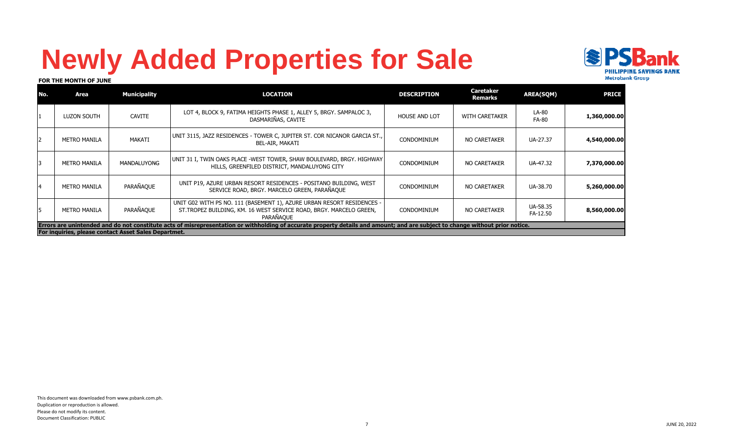# **Newly Added Properties for Sale**



#### **FOR THE MONTH OF JUNE**

| l No. | Area                                                                                                                                                                          | <b>Municipality</b> | <b>LOCATION</b>                                                                                                                                            | <b>DESCRIPTION</b>   | <b>Caretaker</b><br>Remarks | <b>AREA(SQM)</b>      | <b>PRICE</b> |  |  |  |
|-------|-------------------------------------------------------------------------------------------------------------------------------------------------------------------------------|---------------------|------------------------------------------------------------------------------------------------------------------------------------------------------------|----------------------|-----------------------------|-----------------------|--------------|--|--|--|
|       | LUZON SOUTH                                                                                                                                                                   | <b>CAVITE</b>       | LOT 4, BLOCK 9, FATIMA HEIGHTS PHASE 1, ALLEY 5, BRGY. SAMPALOC 3,<br>DASMARIÑAS, CAVITE                                                                   | <b>HOUSE AND LOT</b> | <b>WITH CARETAKER</b>       | LA-80<br><b>FA-80</b> | 1,360,000.00 |  |  |  |
|       | <b>METRO MANILA</b>                                                                                                                                                           | MAKATI              | UNIT 3115, JAZZ RESIDENCES - TOWER C, JUPITER ST. COR NICANOR GARCIA ST.,<br>BEL-AIR, MAKATI                                                               | CONDOMINIUM          | NO CARETAKER                | UA-27.37              | 4,540,000.00 |  |  |  |
|       | <b>METRO MANILA</b>                                                                                                                                                           | <b>MANDALUYONG</b>  | UNIT 31 I, TWIN OAKS PLACE -WEST TOWER, SHAW BOULEVARD, BRGY. HIGHWAY<br>HILLS, GREENFILED DISTRICT, MANDALUYONG CITY                                      | <b>CONDOMINIUM</b>   | NO CARETAKER                | UA-47.32              | 7,370,000.00 |  |  |  |
|       | <b>METRO MANILA</b>                                                                                                                                                           | PARAÑAQUE           | UNIT P19, AZURE URBAN RESORT RESIDENCES - POSITANO BUILDING, WEST<br>SERVICE ROAD, BRGY. MARCELO GREEN, PARAÑAQUE                                          | <b>CONDOMINIUM</b>   | NO CARETAKER                | UA-38.70              | 5,260,000.00 |  |  |  |
| 15    | <b>METRO MANILA</b>                                                                                                                                                           | PARAÑAQUE           | UNIT G02 WITH PS NO. 111 (BASEMENT 1), AZURE URBAN RESORT RESIDENCES -<br>ST. TROPEZ BUILDING, KM. 16 WEST SERVICE ROAD, BRGY. MARCELO GREEN,<br>PARAÑAOUE | <b>CONDOMINIUM</b>   | <b>NO CARETAKER</b>         | UA-58.35<br>FA-12.50  | 8,560,000.00 |  |  |  |
|       | Errors are unintended and do not constitute acts of misrepresentation or withholding of accurate property details and amount; and are subject to change without prior notice. |                     |                                                                                                                                                            |                      |                             |                       |              |  |  |  |
|       | For inquiries, please contact Asset Sales Departmet.                                                                                                                          |                     |                                                                                                                                                            |                      |                             |                       |              |  |  |  |

7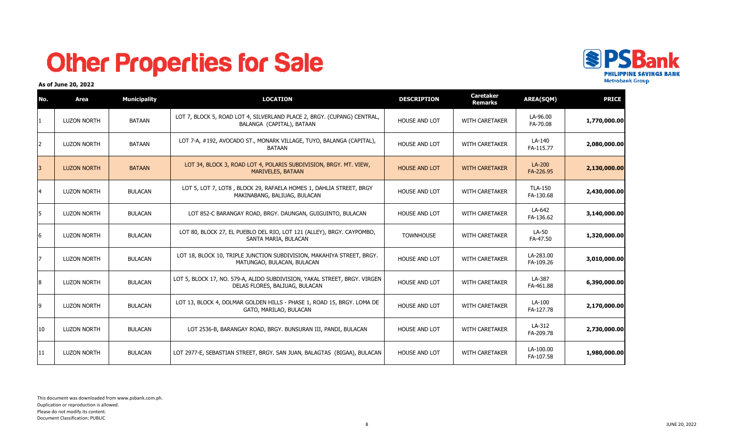## **Other Properties for Sale**



### **As of June 20, 2022**

| No.          | Area               | <b>Municipality</b> | <b>LOCATION</b>                                                                                             | <b>DESCRIPTION</b>   | <b>Caretaker</b><br><b>Remarks</b> | <b>AREA(SQM)</b>            | <b>PRICE</b> |
|--------------|--------------------|---------------------|-------------------------------------------------------------------------------------------------------------|----------------------|------------------------------------|-----------------------------|--------------|
|              | <b>LUZON NORTH</b> | <b>BATAAN</b>       | LOT 7, BLOCK 5, ROAD LOT 4, SILVERLAND PLACE 2, BRGY. (CUPANG) CENTRAL,<br>BALANGA (CAPITAL), BATAAN        | <b>HOUSE AND LOT</b> | WITH CARETAKER                     | LA-96.00<br>FA-70.08        | 1,770,000.00 |
| 12           | <b>LUZON NORTH</b> | BATAAN              | LOT 7-A, #192, AVOCADO ST., MONARK VILLAGE, TUYO, BALANGA (CAPITAL),<br><b>BATAAN</b>                       | <b>HOUSE AND LOT</b> | <b>WITH CARETAKER</b>              | LA-140<br>FA-115.77         | 2,080,000.00 |
| 3            | <b>LUZON NORTH</b> | <b>BATAAN</b>       | LOT 34, BLOCK 3, ROAD LOT 4, POLARIS SUBDIVISION, BRGY. MT. VIEW,<br><b>MARIVELES, BATAAN</b>               | <b>HOUSE AND LOT</b> | <b>WITH CARETAKER</b>              | LA-200<br>FA-226.95         | 2,130,000.00 |
| 4            | <b>LUZON NORTH</b> | <b>BULACAN</b>      | LOT 5, LOT 7, LOT8, BLOCK 29, RAFAELA HOMES 1, DAHLIA STREET, BRGY<br>MAKINABANG, BALIUAG, BULACAN          | <b>HOUSE AND LOT</b> | <b>WITH CARETAKER</b>              | <b>TLA-150</b><br>FA-130.68 | 2,430,000.00 |
| 15           | <b>LUZON NORTH</b> | <b>BULACAN</b>      | LOT 852-C BARANGAY ROAD, BRGY. DAUNGAN, GUIGUINTO, BULACAN                                                  | <b>HOUSE AND LOT</b> | <b>WITH CARETAKER</b>              | LA-642<br>FA-136.62         | 3,140,000.00 |
| 16           | <b>LUZON NORTH</b> | <b>BULACAN</b>      | LOT 80, BLOCK 27, EL PUEBLO DEL RIO, LOT 121 (ALLEY), BRGY. CAYPOMBO,<br>SANTA MARIA, BULACAN               | <b>TOWNHOUSE</b>     | <b>WITH CARETAKER</b>              | LA-50<br>FA-47.50           | 1,320,000.00 |
| 17           | <b>LUZON NORTH</b> | <b>BULACAN</b>      | LOT 18, BLOCK 10, TRIPLE JUNCTION SUBDIVISION, MAKAHIYA STREET, BRGY.<br>MATUNGAO, BULACAN, BULACAN         | HOUSE AND LOT        | WITH CARETAKER                     | LA-283.00<br>FA-109.26      | 3,010,000.00 |
| 8            | <b>LUZON NORTH</b> | <b>BULACAN</b>      | LOT 5, BLOCK 17, NO. 579-A, ALIDO SUBDIVISION, YAKAL STREET, BRGY. VIRGEN<br>DELAS FLORES, BALIUAG, BULACAN | <b>HOUSE AND LOT</b> | <b>WITH CARETAKER</b>              | LA-387<br>FA-461.88         | 6,390,000.00 |
| l9           | <b>LUZON NORTH</b> | <b>BULACAN</b>      | LOT 13, BLOCK 4, DOLMAR GOLDEN HILLS - PHASE 1, ROAD 15, BRGY. LOMA DE<br>GATO, MARILAO, BULACAN            | <b>HOUSE AND LOT</b> | <b>WITH CARETAKER</b>              | LA-100<br>FA-127.78         | 2,170,000.00 |
| 10           | <b>LUZON NORTH</b> | <b>BULACAN</b>      | LOT 2536-B, BARANGAY ROAD, BRGY. BUNSURAN III, PANDI, BULACAN                                               | <b>HOUSE AND LOT</b> | <b>WITH CARETAKER</b>              | LA-312<br>FA-209.78         | 2,730,000.00 |
| $ 11\rangle$ | <b>LUZON NORTH</b> | <b>BULACAN</b>      | LOT 2977-E, SEBASTIAN STREET, BRGY. SAN JUAN, BALAGTAS (BIGAA), BULACAN                                     | <b>HOUSE AND LOT</b> | <b>WITH CARETAKER</b>              | LA-100.00<br>FA-107.58      | 1,980,000.00 |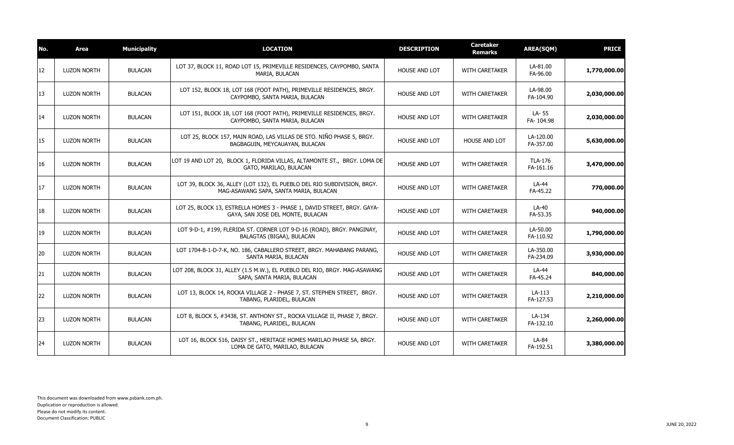| No. | Area               | <b>Municipality</b> | <b>LOCATION</b>                                                                                                   | <b>DESCRIPTION</b>   | <b>Caretaker</b><br><b>Remarks</b> | <b>AREA(SQM)</b>            | <b>PRICE</b> |
|-----|--------------------|---------------------|-------------------------------------------------------------------------------------------------------------------|----------------------|------------------------------------|-----------------------------|--------------|
| 12  | <b>LUZON NORTH</b> | <b>BULACAN</b>      | LOT 37, BLOCK 11, ROAD LOT 15, PRIMEVILLE RESIDENCES, CAYPOMBO, SANTA<br>MARIA, BULACAN                           | <b>HOUSE AND LOT</b> | <b>WITH CARETAKER</b>              | LA-81.00<br>FA-96.00        | 1,770,000.00 |
| 13  | <b>LUZON NORTH</b> | <b>BULACAN</b>      | LOT 152, BLOCK 18, LOT 168 (FOOT PATH), PRIMEVILLE RESIDENCES, BRGY.<br>CAYPOMBO, SANTA MARIA, BULACAN            | <b>HOUSE AND LOT</b> | <b>WITH CARETAKER</b>              | LA-98.00<br>FA-104.90       | 2,030,000.00 |
| 14  | <b>LUZON NORTH</b> | <b>BULACAN</b>      | LOT 151, BLOCK 18, LOT 168 (FOOT PATH), PRIMEVILLE RESIDENCES, BRGY.<br>CAYPOMBO, SANTA MARIA, BULACAN            | HOUSE AND LOT        | WITH CARETAKER                     | LA- 55<br>FA-104.98         | 2,030,000.00 |
| 15  | <b>LUZON NORTH</b> | <b>BULACAN</b>      | LOT 25, BLOCK 157, MAIN ROAD, LAS VILLAS DE STO. NIÑO PHASE 5, BRGY.<br>BAGBAGUIN, MEYCAUAYAN, BULACAN            | <b>HOUSE AND LOT</b> | <b>HOUSE AND LOT</b>               | LA-120.00<br>FA-357.00      | 5,630,000.00 |
| 16  | <b>LUZON NORTH</b> | <b>BULACAN</b>      | LOT 19 AND LOT 20, BLOCK 1, FLORIDA VILLAS, ALTAMONTE ST., BRGY. LOMA DE<br>GATO, MARILAO, BULACAN                | <b>HOUSE AND LOT</b> | <b>WITH CARETAKER</b>              | <b>TLA-176</b><br>FA-161.16 | 3,470,000.00 |
| 17  | <b>LUZON NORTH</b> | <b>BULACAN</b>      | LOT 39, BLOCK 36, ALLEY (LOT 132), EL PUEBLO DEL RIO SUBDIVISION, BRGY.<br>MAG-ASAWANG SAPA, SANTA MARIA, BULACAN | HOUSE AND LOT        | WITH CARETAKER                     | LA-44<br>FA-45.22           | 770,000.00   |
| 18  | <b>LUZON NORTH</b> | <b>BULACAN</b>      | LOT 25, BLOCK 13, ESTRELLA HOMES 3 - PHASE 1, DAVID STREET, BRGY. GAYA-<br>GAYA, SAN JOSE DEL MONTE, BULACAN      | <b>HOUSE AND LOT</b> | WITH CARETAKER                     | LA-40<br>FA-53.35           | 940,000.00   |
| 19  | <b>LUZON NORTH</b> | <b>BULACAN</b>      | LOT 9-D-1, #199, FLERIDA ST. CORNER LOT 9-D-16 (ROAD), BRGY. PANGINAY,<br>BALAGTAS (BIGAA), BULACAN               | HOUSE AND LOT        | WITH CARETAKER                     | LA-50.00<br>FA-110.92       | 1,790,000.00 |
| 20  | <b>LUZON NORTH</b> | <b>BULACAN</b>      | LOT 1704-B-1-D-7-K, NO. 186, CABALLERO STREET, BRGY. MAHABANG PARANG,<br>SANTA MARIA, BULACAN                     | <b>HOUSE AND LOT</b> | <b>WITH CARETAKER</b>              | LA-350.00<br>FA-234.09      | 3,930,000.00 |
| 21  | <b>LUZON NORTH</b> | <b>BULACAN</b>      | LOT 208, BLOCK 31, ALLEY (1.5 M.W.), EL PUEBLO DEL RIO, BRGY. MAG-ASAWANG<br>SAPA, SANTA MARIA, BULACAN           | HOUSE AND LOT        | WITH CARETAKER                     | LA-44<br>FA-45.24           | 840,000.00   |
| 22  | <b>LUZON NORTH</b> | <b>BULACAN</b>      | LOT 13, BLOCK 14, ROCKA VILLAGE 2 - PHASE 7, ST. STEPHEN STREET, BRGY.<br>TABANG, PLARIDEL, BULACAN               | <b>HOUSE AND LOT</b> | WITH CARETAKER                     | LA-113<br>FA-127.53         | 2,210,000.00 |
| 23  | <b>LUZON NORTH</b> | <b>BULACAN</b>      | LOT 8, BLOCK 5, #3438, ST. ANTHONY ST., ROCKA VILLAGE II, PHASE 7, BRGY.<br>TABANG, PLARIDEL, BULACAN             | <b>HOUSE AND LOT</b> | <b>WITH CARETAKER</b>              | LA-134<br>FA-132.10         | 2,260,000.00 |
| 24  | <b>LUZON NORTH</b> | <b>BULACAN</b>      | LOT 16, BLOCK 516, DAISY ST., HERITAGE HOMES MARILAO PHASE 5A, BRGY.<br>LOMA DE GATO, MARILAO, BULACAN            | HOUSE AND LOT        | WITH CARETAKER                     | LA-84<br>FA-192.51          | 3,380,000.00 |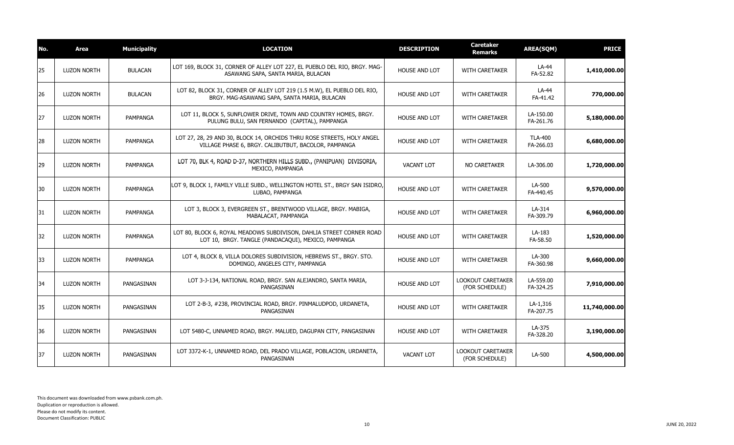| No. | Area               | <b>Municipality</b> | <b>LOCATION</b>                                                                                                                | <b>DESCRIPTION</b>   | <b>Caretaker</b><br><b>Remarks</b>  | <b>AREA(SQM)</b>            | <b>PRICE</b>  |
|-----|--------------------|---------------------|--------------------------------------------------------------------------------------------------------------------------------|----------------------|-------------------------------------|-----------------------------|---------------|
| 25  | <b>LUZON NORTH</b> | <b>BULACAN</b>      | LOT 169, BLOCK 31, CORNER OF ALLEY LOT 227, EL PUEBLO DEL RIO, BRGY. MAG-<br>ASAWANG SAPA, SANTA MARIA, BULACAN                | <b>HOUSE AND LOT</b> | <b>WITH CARETAKER</b>               | LA-44<br>FA-52.82           | 1,410,000.00  |
| 26  | <b>LUZON NORTH</b> | <b>BULACAN</b>      | LOT 82, BLOCK 31, CORNER OF ALLEY LOT 219 (1.5 M.W), EL PUEBLO DEL RIO,<br>BRGY. MAG-ASAWANG SAPA, SANTA MARIA, BULACAN        | <b>HOUSE AND LOT</b> | <b>WITH CARETAKER</b>               | LA-44<br>FA-41.42           | 770,000.00    |
| 27  | <b>LUZON NORTH</b> | PAMPANGA            | LOT 11, BLOCK 5, SUNFLOWER DRIVE, TOWN AND COUNTRY HOMES, BRGY.<br>PULUNG BULU, SAN FERNANDO (CAPITAL), PAMPANGA               | <b>HOUSE AND LOT</b> | <b>WITH CARETAKER</b>               | LA-150.00<br>FA-261.76      | 5,180,000.00  |
| 28  | <b>LUZON NORTH</b> | PAMPANGA            | LOT 27, 28, 29 AND 30, BLOCK 14, ORCHIDS THRU ROSE STREETS, HOLY ANGEL<br>VILLAGE PHASE 6, BRGY. CALIBUTBUT, BACOLOR, PAMPANGA | HOUSE AND LOT        | WITH CARETAKER                      | <b>TLA-400</b><br>FA-266.03 | 6,680,000.00  |
| 29  | <b>LUZON NORTH</b> | PAMPANGA            | LOT 70, BLK 4, ROAD D-37, NORTHERN HILLS SUBD., (PANIPUAN) DIVISORIA,<br>MEXICO, PAMPANGA                                      | <b>VACANT LOT</b>    | NO CARETAKER                        | LA-306.00                   | 1,720,000.00  |
| 30  | <b>LUZON NORTH</b> | PAMPANGA            | LOT 9, BLOCK 1, FAMILY VILLE SUBD., WELLINGTON HOTEL ST., BRGY SAN ISIDRO,<br>LUBAO, PAMPANGA                                  | <b>HOUSE AND LOT</b> | <b>WITH CARETAKER</b>               | LA-500<br>FA-440.45         | 9,570,000.00  |
| 31  | <b>LUZON NORTH</b> | PAMPANGA            | LOT 3, BLOCK 3, EVERGREEN ST., BRENTWOOD VILLAGE, BRGY. MABIGA,<br>MABALACAT, PAMPANGA                                         | <b>HOUSE AND LOT</b> | <b>WITH CARETAKER</b>               | LA-314<br>FA-309.79         | 6,960,000.00  |
| 32  | <b>LUZON NORTH</b> | PAMPANGA            | LOT 80, BLOCK 6, ROYAL MEADOWS SUBDIVISON, DAHLIA STREET CORNER ROAD<br>LOT 10, BRGY. TANGLE (PANDACAQUI), MEXICO, PAMPANGA    | <b>HOUSE AND LOT</b> | WITH CARETAKER                      | LA-183<br>FA-58.50          | 1,520,000.00  |
| 33  | <b>LUZON NORTH</b> | PAMPANGA            | LOT 4, BLOCK 8, VILLA DOLORES SUBDIVISION, HEBREWS ST., BRGY. STO.<br>DOMINGO, ANGELES CITY, PAMPANGA                          | <b>HOUSE AND LOT</b> | <b>WITH CARETAKER</b>               | LA-300<br>FA-360.98         | 9,660,000.00  |
| 34  | <b>LUZON NORTH</b> | PANGASINAN          | LOT 3-J-134, NATIONAL ROAD, BRGY. SAN ALEJANDRO, SANTA MARIA,<br>PANGASINAN                                                    | HOUSE AND LOT        | LOOKOUT CARETAKER<br>(FOR SCHEDULE) | LA-559.00<br>FA-324.25      | 7,910,000.00  |
| 35  | <b>LUZON NORTH</b> | PANGASINAN          | LOT 2-B-3, #238, PROVINCIAL ROAD, BRGY. PINMALUDPOD, URDANETA,<br>PANGASINAN                                                   | <b>HOUSE AND LOT</b> | <b>WITH CARETAKER</b>               | LA-1,316<br>FA-207.75       | 11,740,000.00 |
| 36  | <b>LUZON NORTH</b> | PANGASINAN          | LOT 5480-C, UNNAMED ROAD, BRGY. MALUED, DAGUPAN CITY, PANGASINAN                                                               | <b>HOUSE AND LOT</b> | WITH CARETAKER                      | LA-375<br>FA-328.20         | 3,190,000.00  |
| 37  | <b>LUZON NORTH</b> | PANGASINAN          | LOT 3372-K-1, UNNAMED ROAD, DEL PRADO VILLAGE, POBLACION, URDANETA,<br>PANGASINAN                                              | <b>VACANT LOT</b>    | LOOKOUT CARETAKER<br>(FOR SCHEDULE) | LA-500                      | 4,500,000.00  |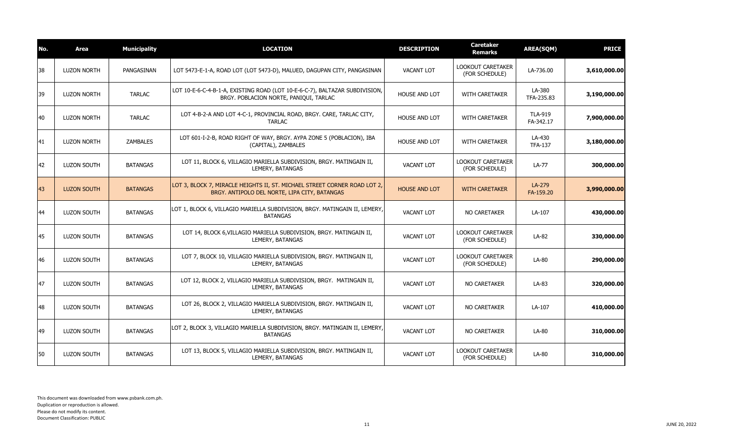| No. | Area               | <b>Municipality</b> | <b>LOCATION</b>                                                                                                            | <b>DESCRIPTION</b>   | <b>Caretaker</b><br>Remarks                | <b>AREA(SQM)</b>            | <b>PRICE</b> |
|-----|--------------------|---------------------|----------------------------------------------------------------------------------------------------------------------------|----------------------|--------------------------------------------|-----------------------------|--------------|
| 38  | <b>LUZON NORTH</b> | PANGASINAN          | LOT 5473-E-1-A, ROAD LOT (LOT 5473-D), MALUED, DAGUPAN CITY, PANGASINAN                                                    | <b>VACANT LOT</b>    | <b>LOOKOUT CARETAKER</b><br>(FOR SCHEDULE) | LA-736.00                   | 3,610,000.00 |
| 39  | <b>LUZON NORTH</b> | <b>TARLAC</b>       | LOT 10-E-6-C-4-B-1-A, EXISTING ROAD (LOT 10-E-6-C-7), BALTAZAR SUBDIVISION,<br>BRGY. POBLACION NORTE, PANIQUI, TARLAC      | <b>HOUSE AND LOT</b> | <b>WITH CARETAKER</b>                      | LA-380<br>TFA-235.83        | 3,190,000.00 |
| 40  | <b>LUZON NORTH</b> | <b>TARLAC</b>       | LOT 4-B-2-A AND LOT 4-C-1, PROVINCIAL ROAD, BRGY. CARE, TARLAC CITY,<br><b>TARLAC</b>                                      | <b>HOUSE AND LOT</b> | <b>WITH CARETAKER</b>                      | <b>TLA-919</b><br>FA-342.17 | 7,900,000.00 |
| 41  | <b>LUZON NORTH</b> | <b>ZAMBALES</b>     | LOT 601-I-2-B, ROAD RIGHT OF WAY, BRGY. AYPA ZONE 5 (POBLACION), IBA<br>(CAPITAL), ZAMBALES                                | <b>HOUSE AND LOT</b> | <b>WITH CARETAKER</b>                      | LA-430<br><b>TFA-137</b>    | 3,180,000.00 |
| 42  | <b>LUZON SOUTH</b> | <b>BATANGAS</b>     | LOT 11, BLOCK 6, VILLAGIO MARIELLA SUBDIVISION, BRGY. MATINGAIN II,<br>LEMERY, BATANGAS                                    | <b>VACANT LOT</b>    | LOOKOUT CARETAKER<br>(FOR SCHEDULE)        | LA-77                       | 300,000.00   |
| 43  | <b>LUZON SOUTH</b> | <b>BATANGAS</b>     | LOT 3, BLOCK 7, MIRACLE HEIGHTS II, ST. MICHAEL STREET CORNER ROAD LOT 2,<br>BRGY. ANTIPOLO DEL NORTE, LIPA CITY, BATANGAS | <b>HOUSE AND LOT</b> | <b>WITH CARETAKER</b>                      | LA-279<br>FA-159.20         | 3,990,000.00 |
| 44  | <b>LUZON SOUTH</b> | <b>BATANGAS</b>     | LOT 1, BLOCK 6, VILLAGIO MARIELLA SUBDIVISION, BRGY. MATINGAIN II, LEMERY,<br><b>BATANGAS</b>                              | <b>VACANT LOT</b>    | NO CARETAKER                               | LA-107                      | 430,000.00   |
| 145 | <b>LUZON SOUTH</b> | <b>BATANGAS</b>     | LOT 14, BLOCK 6, VILLAGIO MARIELLA SUBDIVISION, BRGY. MATINGAIN II,<br>LEMERY, BATANGAS                                    | <b>VACANT LOT</b>    | LOOKOUT CARETAKER<br>(FOR SCHEDULE)        | LA-82                       | 330,000.00   |
| 46  | <b>LUZON SOUTH</b> | <b>BATANGAS</b>     | LOT 7, BLOCK 10, VILLAGIO MARIELLA SUBDIVISION, BRGY. MATINGAIN II,<br>LEMERY, BATANGAS                                    | <b>VACANT LOT</b>    | LOOKOUT CARETAKER<br>(FOR SCHEDULE)        | LA-80                       | 290,000.00   |
| 47  | <b>LUZON SOUTH</b> | <b>BATANGAS</b>     | LOT 12, BLOCK 2, VILLAGIO MARIELLA SUBDIVISION, BRGY. MATINGAIN II,<br>LEMERY, BATANGAS                                    | <b>VACANT LOT</b>    | NO CARETAKER                               | LA-83                       | 320,000.00   |
| 48  | <b>LUZON SOUTH</b> | <b>BATANGAS</b>     | LOT 26, BLOCK 2, VILLAGIO MARIELLA SUBDIVISION, BRGY. MATINGAIN II,<br>LEMERY, BATANGAS                                    | <b>VACANT LOT</b>    | <b>NO CARETAKER</b>                        | LA-107                      | 410,000.00   |
| 49  | <b>LUZON SOUTH</b> | <b>BATANGAS</b>     | LOT 2, BLOCK 3, VILLAGIO MARIELLA SUBDIVISION, BRGY. MATINGAIN II, LEMERY,<br><b>BATANGAS</b>                              | <b>VACANT LOT</b>    | NO CARETAKER                               | LA-80                       | 310,000.00   |
| 50  | <b>LUZON SOUTH</b> | <b>BATANGAS</b>     | LOT 13, BLOCK 5, VILLAGIO MARIELLA SUBDIVISION, BRGY. MATINGAIN II,<br>LEMERY, BATANGAS                                    | <b>VACANT LOT</b>    | LOOKOUT CARETAKER<br>(FOR SCHEDULE)        | LA-80                       | 310,000.00   |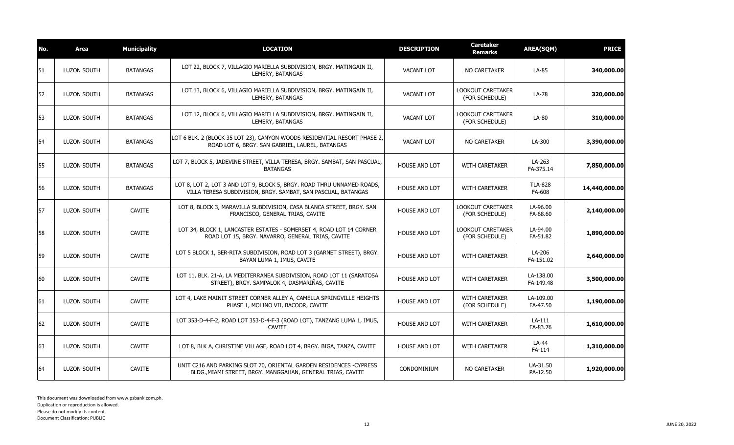| No. | Area               | <b>Municipality</b> | <b>LOCATION</b>                                                                                                                         | <b>DESCRIPTION</b>   | <b>Caretaker</b><br>Remarks                | <b>AREA(SQM)</b>         | <b>PRICE</b>  |
|-----|--------------------|---------------------|-----------------------------------------------------------------------------------------------------------------------------------------|----------------------|--------------------------------------------|--------------------------|---------------|
| 51  | <b>LUZON SOUTH</b> | <b>BATANGAS</b>     | LOT 22, BLOCK 7, VILLAGIO MARIELLA SUBDIVISION, BRGY. MATINGAIN II,<br>LEMERY, BATANGAS                                                 | <b>VACANT LOT</b>    | NO CARETAKER                               | LA-85                    | 340,000.00    |
| 52  | <b>LUZON SOUTH</b> | <b>BATANGAS</b>     | LOT 13, BLOCK 6, VILLAGIO MARIELLA SUBDIVISION, BRGY. MATINGAIN II,<br>LEMERY, BATANGAS                                                 | <b>VACANT LOT</b>    | <b>LOOKOUT CARETAKER</b><br>(FOR SCHEDULE) | LA-78                    | 320,000.00    |
| 53  | <b>LUZON SOUTH</b> | <b>BATANGAS</b>     | LOT 12, BLOCK 6, VILLAGIO MARIELLA SUBDIVISION, BRGY. MATINGAIN II,<br>LEMERY, BATANGAS                                                 | <b>VACANT LOT</b>    | <b>LOOKOUT CARETAKER</b><br>(FOR SCHEDULE) | LA-80                    | 310,000.00    |
| 54  | <b>LUZON SOUTH</b> | <b>BATANGAS</b>     | LOT 6 BLK, 2 (BLOCK 35 LOT 23), CANYON WOODS RESIDENTIAL RESORT PHASE 2,<br>ROAD LOT 6, BRGY. SAN GABRIEL, LAUREL, BATANGAS             | <b>VACANT LOT</b>    | <b>NO CARETAKER</b>                        | LA-300                   | 3,390,000.00  |
| 55  | LUZON SOUTH        | <b>BATANGAS</b>     | LOT 7, BLOCK 5, JADEVINE STREET, VILLA TERESA, BRGY. SAMBAT, SAN PASCUAL,<br><b>BATANGAS</b>                                            | <b>HOUSE AND LOT</b> | <b>WITH CARETAKER</b>                      | LA-263<br>FA-375.14      | 7,850,000.00  |
| 56  | <b>LUZON SOUTH</b> | <b>BATANGAS</b>     | LOT 8, LOT 2, LOT 3 AND LOT 9, BLOCK 5, BRGY. ROAD THRU UNNAMED ROADS,<br>VILLA TERESA SUBDIVISION, BRGY. SAMBAT, SAN PASCUAL, BATANGAS | <b>HOUSE AND LOT</b> | WITH CARETAKER                             | <b>TLA-828</b><br>FA-608 | 14,440,000.00 |
| 57  | <b>LUZON SOUTH</b> | <b>CAVITE</b>       | LOT 8, BLOCK 3, MARAVILLA SUBDIVISION, CASA BLANCA STREET, BRGY. SAN<br>FRANCISCO, GENERAL TRIAS, CAVITE                                | HOUSE AND LOT        | <b>LOOKOUT CARETAKER</b><br>(FOR SCHEDULE) | LA-96.00<br>FA-68.60     | 2,140,000.00  |
| 58  | <b>LUZON SOUTH</b> | <b>CAVITE</b>       | LOT 34, BLOCK 1, LANCASTER ESTATES - SOMERSET 4, ROAD LOT 14 CORNER<br>ROAD LOT 15, BRGY. NAVARRO, GENERAL TRIAS, CAVITE                | <b>HOUSE AND LOT</b> | <b>LOOKOUT CARETAKER</b><br>(FOR SCHEDULE) | LA-94.00<br>FA-51.82     | 1,890,000.00  |
| 59  | LUZON SOUTH        | <b>CAVITE</b>       | LOT 5 BLOCK 1, BER-RITA SUBDIVISION, ROAD LOT 3 (GARNET STREET), BRGY.<br>BAYAN LUMA 1, IMUS, CAVITE                                    | HOUSE AND LOT        | <b>WITH CARETAKER</b>                      | LA-206<br>FA-151.02      | 2,640,000.00  |
| 60  | <b>LUZON SOUTH</b> | <b>CAVITE</b>       | LOT 11, BLK. 21-A, LA MEDITERRANEA SUBDIVISION, ROAD LOT 11 (SARATOSA<br>STREET), BRGY. SAMPALOK 4, DASMARIÑAS, CAVITE                  | <b>HOUSE AND LOT</b> | <b>WITH CARETAKER</b>                      | LA-138.00<br>FA-149.48   | 3,500,000.00  |
| 61  | <b>LUZON SOUTH</b> | <b>CAVITE</b>       | LOT 4, LAKE MAINIT STREET CORNER ALLEY A, CAMELLA SPRINGVILLE HEIGHTS<br>PHASE 1, MOLINO VII, BACOOR, CAVITE                            | <b>HOUSE AND LOT</b> | WITH CARETAKER<br>(FOR SCHEDULE)           | LA-109.00<br>FA-47.50    | 1,190,000.00  |
| 62  | <b>LUZON SOUTH</b> | <b>CAVITE</b>       | LOT 353-D-4-F-2, ROAD LOT 353-D-4-F-3 (ROAD LOT), TANZANG LUMA 1, IMUS,<br><b>CAVITE</b>                                                | <b>HOUSE AND LOT</b> | <b>WITH CARETAKER</b>                      | LA-111<br>FA-83.76       | 1,610,000.00  |
| 63  | <b>LUZON SOUTH</b> | <b>CAVITE</b>       | LOT 8, BLK A, CHRISTINE VILLAGE, ROAD LOT 4, BRGY. BIGA, TANZA, CAVITE                                                                  | <b>HOUSE AND LOT</b> | <b>WITH CARETAKER</b>                      | LA-44<br>FA-114          | 1,310,000.00  |
| 64  | <b>LUZON SOUTH</b> | <b>CAVITE</b>       | UNIT C216 AND PARKING SLOT 70, ORIENTAL GARDEN RESIDENCES -CYPRESS<br>BLDG., MIAMI STREET, BRGY. MANGGAHAN, GENERAL TRIAS, CAVITE       | CONDOMINIUM          | <b>NO CARETAKER</b>                        | UA-31.50<br>PA-12.50     | 1,920,000.00  |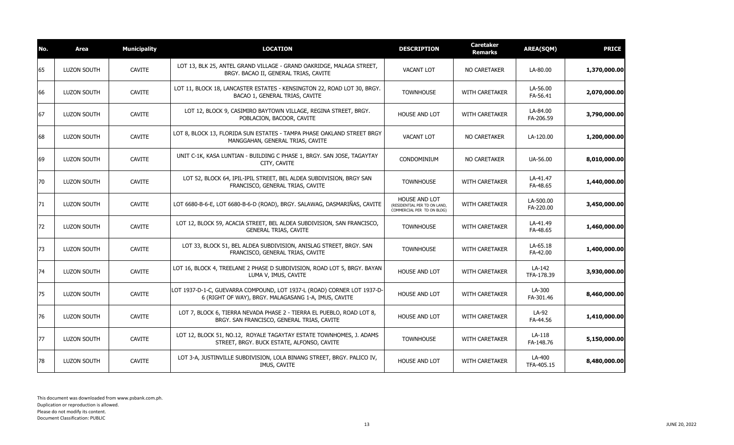| No. | <b>Area</b>        | <b>Municipality</b> | <b>LOCATION</b>                                                                                                                 | <b>DESCRIPTION</b>                                                          | <b>Caretaker</b><br><b>Remarks</b> | <b>AREA(SQM)</b>       | <b>PRICE</b> |
|-----|--------------------|---------------------|---------------------------------------------------------------------------------------------------------------------------------|-----------------------------------------------------------------------------|------------------------------------|------------------------|--------------|
| 65  | <b>LUZON SOUTH</b> | <b>CAVITE</b>       | LOT 13, BLK 25, ANTEL GRAND VILLAGE - GRAND OAKRIDGE, MALAGA STREET,<br>BRGY. BACAO II, GENERAL TRIAS, CAVITE                   | <b>VACANT LOT</b>                                                           | <b>NO CARETAKER</b>                | LA-80.00               | 1,370,000.00 |
| 66  | <b>LUZON SOUTH</b> | <b>CAVITE</b>       | LOT 11, BLOCK 18, LANCASTER ESTATES - KENSINGTON 22, ROAD LOT 30, BRGY.<br>BACAO 1, GENERAL TRIAS, CAVITE                       | <b>TOWNHOUSE</b>                                                            | WITH CARETAKER                     | LA-56.00<br>FA-56.41   | 2,070,000.00 |
| 67  | <b>LUZON SOUTH</b> | <b>CAVITE</b>       | LOT 12, BLOCK 9, CASIMIRO BAYTOWN VILLAGE, REGINA STREET, BRGY.<br>POBLACION, BACOOR, CAVITE                                    | <b>HOUSE AND LOT</b>                                                        | <b>WITH CARETAKER</b>              | LA-84.00<br>FA-206.59  | 3,790,000.00 |
| 68  | <b>LUZON SOUTH</b> | <b>CAVITE</b>       | LOT 8, BLOCK 13, FLORIDA SUN ESTATES - TAMPA PHASE OAKLAND STREET BRGY<br>MANGGAHAN, GENERAL TRIAS, CAVITE                      | <b>VACANT LOT</b>                                                           | NO CARETAKER                       | LA-120.00              | 1,200,000.00 |
| 69  | LUZON SOUTH        | <b>CAVITE</b>       | UNIT C-1K, KASA LUNTIAN - BUILDING C PHASE 1, BRGY. SAN JOSE, TAGAYTAY<br>CITY, CAVITE                                          | <b>CONDOMINIUM</b>                                                          | NO CARETAKER                       | UA-56.00               | 8,010,000.00 |
| 70  | LUZON SOUTH        | <b>CAVITE</b>       | LOT 52, BLOCK 64, IPIL-IPIL STREET, BEL ALDEA SUBDIVISION, BRGY SAN<br>FRANCISCO, GENERAL TRIAS, CAVITE                         | <b>TOWNHOUSE</b>                                                            | <b>WITH CARETAKER</b>              | LA-41.47<br>FA-48.65   | 1,440,000.00 |
| 71  | LUZON SOUTH        | <b>CAVITE</b>       | LOT 6680-B-6-E, LOT 6680-B-6-D (ROAD), BRGY. SALAWAG, DASMARIÑAS, CAVITE                                                        | HOUSE AND LOT<br>(RESIDENTIAL PER TD ON LAND,<br>COMMERCIAL PER TD ON BLDG) | WITH CARETAKER                     | LA-500.00<br>FA-220.00 | 3,450,000.00 |
| 72  | LUZON SOUTH        | <b>CAVITE</b>       | LOT 12, BLOCK 59, ACACIA STREET, BEL ALDEA SUBDIVISION, SAN FRANCISCO,<br><b>GENERAL TRIAS, CAVITE</b>                          | <b>TOWNHOUSE</b>                                                            | <b>WITH CARETAKER</b>              | LA-41.49<br>FA-48.65   | 1,460,000.00 |
| 73  | <b>LUZON SOUTH</b> | <b>CAVITE</b>       | LOT 33, BLOCK 51, BEL ALDEA SUBDIVISION, ANISLAG STREET, BRGY. SAN<br>FRANCISCO, GENERAL TRIAS, CAVITE                          | <b>TOWNHOUSE</b>                                                            | <b>WITH CARETAKER</b>              | LA-65.18<br>FA-42.00   | 1,400,000.00 |
| 74  | LUZON SOUTH        | <b>CAVITE</b>       | LOT 16, BLOCK 4, TREELANE 2 PHASE D SUBDIVISION, ROAD LOT 5, BRGY. BAYAN<br>LUMA V, IMUS, CAVITE                                | HOUSE AND LOT                                                               | WITH CARETAKER                     | LA-142<br>TFA-178.39   | 3,930,000.00 |
| 75  | <b>LUZON SOUTH</b> | <b>CAVITE</b>       | LOT 1937-D-1-C, GUEVARRA COMPOUND, LOT 1937-L (ROAD) CORNER LOT 1937-D-<br>6 (RIGHT OF WAY), BRGY. MALAGASANG 1-A, IMUS, CAVITE | HOUSE AND LOT                                                               | <b>WITH CARETAKER</b>              | LA-300<br>FA-301.46    | 8,460,000.00 |
| 76  | <b>LUZON SOUTH</b> | <b>CAVITE</b>       | LOT 7, BLOCK 6, TIERRA NEVADA PHASE 2 - TIERRA EL PUEBLO, ROAD LOT 8,<br>BRGY. SAN FRANCISCO, GENERAL TRIAS, CAVITE             | <b>HOUSE AND LOT</b>                                                        | <b>WITH CARETAKER</b>              | LA-92<br>FA-44.56      | 1,410,000.00 |
| 77  | LUZON SOUTH        | <b>CAVITE</b>       | LOT 12, BLOCK 51, NO.12, ROYALE TAGAYTAY ESTATE TOWNHOMES, J. ADAMS<br>STREET, BRGY. BUCK ESTATE, ALFONSO, CAVITE               | <b>TOWNHOUSE</b>                                                            | <b>WITH CARETAKER</b>              | $LA-118$<br>FA-148.76  | 5,150,000.00 |
| 78  | LUZON SOUTH        | <b>CAVITE</b>       | LOT 3-A, JUSTINVILLE SUBDIVISION, LOLA BINANG STREET, BRGY. PALICO IV,<br>IMUS, CAVITE                                          | <b>HOUSE AND LOT</b>                                                        | <b>WITH CARETAKER</b>              | LA-400<br>TFA-405.15   | 8,480,000.00 |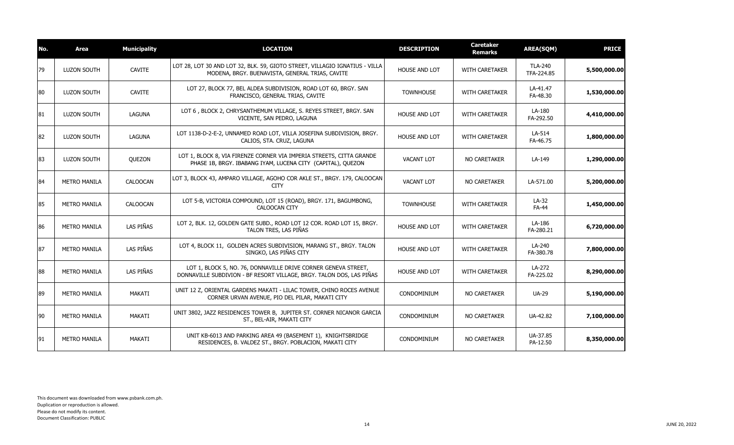| No. | Area                | <b>Municipality</b> | <b>LOCATION</b>                                                                                                                        | <b>DESCRIPTION</b>   | <b>Caretaker</b><br><b>Remarks</b> | <b>AREA(SQM)</b>             | <b>PRICE</b> |
|-----|---------------------|---------------------|----------------------------------------------------------------------------------------------------------------------------------------|----------------------|------------------------------------|------------------------------|--------------|
| 79  | LUZON SOUTH         | <b>CAVITE</b>       | LOT 28, LOT 30 AND LOT 32, BLK. 59, GIOTO STREET, VILLAGIO IGNATIUS - VILLA<br>MODENA, BRGY. BUENAVISTA, GENERAL TRIAS, CAVITE         | HOUSE AND LOT        | <b>WITH CARETAKER</b>              | <b>TLA-240</b><br>TFA-224.85 | 5,500,000.00 |
| 80  | <b>LUZON SOUTH</b>  | <b>CAVITE</b>       | LOT 27, BLOCK 77, BEL ALDEA SUBDIVISION, ROAD LOT 60, BRGY. SAN<br>FRANCISCO, GENERAL TRIAS, CAVITE                                    | <b>TOWNHOUSE</b>     | <b>WITH CARETAKER</b>              | LA-41.47<br>FA-48.30         | 1,530,000.00 |
| 81  | <b>LUZON SOUTH</b>  | LAGUNA              | LOT 6, BLOCK 2, CHRYSANTHEMUM VILLAGE, S. REYES STREET, BRGY. SAN<br>VICENTE, SAN PEDRO, LAGUNA                                        | <b>HOUSE AND LOT</b> | <b>WITH CARETAKER</b>              | LA-180<br>FA-292.50          | 4,410,000.00 |
| 82  | <b>LUZON SOUTH</b>  | LAGUNA              | LOT 1138-D-2-E-2, UNNAMED ROAD LOT, VILLA JOSEFINA SUBDIVISION, BRGY.<br>CALIOS, STA. CRUZ, LAGUNA                                     | <b>HOUSE AND LOT</b> | <b>WITH CARETAKER</b>              | LA-514<br>FA-46.75           | 1,800,000.00 |
| 83  | <b>LUZON SOUTH</b>  | QUEZON              | LOT 1, BLOCK 8, VIA FIRENZE CORNER VIA IMPERIA STREETS, CITTA GRANDE<br>PHASE 1B, BRGY. IBABANG IYAM, LUCENA CITY (CAPITAL), QUEZON    | <b>VACANT LOT</b>    | NO CARETAKER                       | LA-149                       | 1,290,000.00 |
| 84  | <b>METRO MANILA</b> | CALOOCAN            | LOT 3, BLOCK 43, AMPARO VILLAGE, AGOHO COR AKLE ST., BRGY. 179, CALOOCAN<br><b>CITY</b>                                                | <b>VACANT LOT</b>    | NO CARETAKER                       | LA-571.00                    | 5,200,000.00 |
| 85  | <b>METRO MANILA</b> | CALOOCAN            | LOT 5-B, VICTORIA COMPOUND, LOT 15 (ROAD), BRGY. 171, BAGUMBONG,<br>CALOOCAN CITY                                                      | <b>TOWNHOUSE</b>     | WITH CARETAKER                     | LA-32<br><b>FA-44</b>        | 1,450,000.00 |
| 86  | <b>METRO MANILA</b> | LAS PIÑAS           | LOT 2, BLK. 12, GOLDEN GATE SUBD., ROAD LOT 12 COR. ROAD LOT 15, BRGY.<br>TALON TRES, LAS PIÑAS                                        | <b>HOUSE AND LOT</b> | <b>WITH CARETAKER</b>              | LA-186<br>FA-280.21          | 6,720,000.00 |
| 87  | <b>METRO MANILA</b> | LAS PIÑAS           | LOT 4, BLOCK 11, GOLDEN ACRES SUBDIVISION, MARANG ST., BRGY. TALON<br>SINGKO, LAS PIÑAS CITY                                           | <b>HOUSE AND LOT</b> | WITH CARETAKER                     | LA-240<br>FA-380.78          | 7,800,000.00 |
| 88  | <b>METRO MANILA</b> | LAS PIÑAS           | LOT 1, BLOCK 5, NO. 76, DONNAVILLE DRIVE CORNER GENEVA STREET,<br>DONNAVILLE SUBDIVION - BF RESORT VILLAGE, BRGY. TALON DOS, LAS PIÑAS | <b>HOUSE AND LOT</b> | WITH CARETAKER                     | LA-272<br>FA-225.02          | 8,290,000.00 |
| 89  | <b>METRO MANILA</b> | MAKATI              | UNIT 12 Z. ORIENTAL GARDENS MAKATI - LILAC TOWER, CHINO ROCES AVENUE<br>CORNER URVAN AVENUE, PIO DEL PILAR, MAKATI CITY                | CONDOMINIUM          | NO CARETAKER                       | <b>UA-29</b>                 | 5,190,000.00 |
| 90  | <b>METRO MANILA</b> | MAKATI              | UNIT 3802, JAZZ RESIDENCES TOWER B, JUPITER ST. CORNER NICANOR GARCIA<br>ST., BEL-AIR, MAKATI CITY                                     | CONDOMINIUM          | NO CARETAKER                       | UA-42.82                     | 7,100,000.00 |
| 91  | <b>METRO MANILA</b> | MAKATI              | UNIT KB-6013 AND PARKING AREA 49 (BASEMENT 1), KNIGHTSBRIDGE<br>RESIDENCES, B. VALDEZ ST., BRGY. POBLACION, MAKATI CITY                | CONDOMINIUM          | NO CARETAKER                       | UA-37.85<br>PA-12.50         | 8,350,000.00 |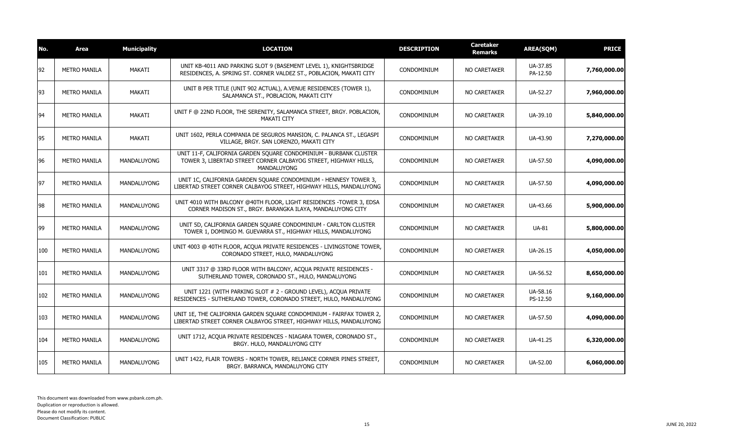| Area                | <b>Municipality</b> | <b>LOCATION</b>                                                                                                                                     | <b>DESCRIPTION</b> | <b>Caretaker</b><br>Remarks | <b>AREA(SQM)</b>     | <b>PRICE</b> |
|---------------------|---------------------|-----------------------------------------------------------------------------------------------------------------------------------------------------|--------------------|-----------------------------|----------------------|--------------|
| <b>METRO MANILA</b> | MAKATI              | UNIT KB-4011 AND PARKING SLOT 9 (BASEMENT LEVEL 1), KNIGHTSBRIDGE<br>RESIDENCES, A. SPRING ST. CORNER VALDEZ ST., POBLACION, MAKATI CITY            | <b>CONDOMINIUM</b> | NO CARETAKER                | UA-37.85<br>PA-12.50 | 7,760,000.00 |
| <b>METRO MANILA</b> | MAKATI              | UNIT B PER TITLE (UNIT 902 ACTUAL), A.VENUE RESIDENCES (TOWER 1),<br>SALAMANCA ST., POBLACION, MAKATI CITY                                          | <b>CONDOMINIUM</b> | <b>NO CARETAKER</b>         | UA-52.27             | 7,960,000.00 |
| <b>METRO MANILA</b> | MAKATI              | UNIT F @ 22ND FLOOR, THE SERENITY, SALAMANCA STREET, BRGY. POBLACION,<br><b>MAKATI CITY</b>                                                         | <b>CONDOMINIUM</b> | NO CARETAKER                | UA-39.10             | 5,840,000.00 |
| <b>METRO MANILA</b> | MAKATI              | UNIT 1602, PERLA COMPANIA DE SEGUROS MANSION, C. PALANCA ST., LEGASPI<br>VILLAGE, BRGY. SAN LORENZO, MAKATI CITY                                    | <b>CONDOMINIUM</b> | <b>NO CARETAKER</b>         | UA-43.90             | 7,270,000.00 |
| <b>METRO MANILA</b> | <b>MANDALUYONG</b>  | UNIT 11-F, CALIFORNIA GARDEN SOUARE CONDOMINIUM - BURBANK CLUSTER<br>TOWER 3, LIBERTAD STREET CORNER CALBAYOG STREET, HIGHWAY HILLS,<br>MANDALUYONG | CONDOMINIUM        | NO CARETAKER                | UA-57.50             | 4,090,000.00 |
| <b>METRO MANILA</b> | <b>MANDALUYONG</b>  | UNIT 1C, CALIFORNIA GARDEN SQUARE CONDOMINIUM - HENNESY TOWER 3,<br>LIBERTAD STREET CORNER CALBAYOG STREET, HIGHWAY HILLS, MANDALUYONG              | CONDOMINIUM        | NO CARETAKER                | UA-57.50             | 4,090,000.00 |
| <b>METRO MANILA</b> | MANDALUYONG         | UNIT 4010 WITH BALCONY @40TH FLOOR, LIGHT RESIDENCES -TOWER 3, EDSA<br>CORNER MADISON ST., BRGY. BARANGKA ILAYA, MANDALUYONG CITY                   | CONDOMINIUM        | NO CARETAKER                | UA-43.66             | 5,900,000.00 |
| <b>METRO MANILA</b> | MANDALUYONG         | UNIT 5D, CALIFORNIA GARDEN SQUARE CONDOMINIUM - CARLTON CLUSTER<br>TOWER 1, DOMINGO M. GUEVARRA ST., HIGHWAY HILLS, MANDALUYONG                     | <b>CONDOMINIUM</b> | NO CARETAKER                | <b>UA-81</b>         | 5,800,000.00 |
| <b>METRO MANILA</b> | MANDALUYONG         | UNIT 4003 @ 40TH FLOOR, ACQUA PRIVATE RESIDENCES - LIVINGSTONE TOWER,<br>CORONADO STREET, HULO, MANDALUYONG                                         | <b>CONDOMINIUM</b> | NO CARETAKER                | UA-26.15             | 4,050,000.00 |
| <b>METRO MANILA</b> | <b>MANDALUYONG</b>  | UNIT 3317 @ 33RD FLOOR WITH BALCONY, ACOUA PRIVATE RESIDENCES -<br>SUTHERLAND TOWER, CORONADO ST., HULO, MANDALUYONG                                | <b>CONDOMINIUM</b> | NO CARETAKER                | UA-56.52             | 8,650,000.00 |
| <b>METRO MANILA</b> | <b>MANDALUYONG</b>  | UNIT 1221 (WITH PARKING SLOT # 2 - GROUND LEVEL), ACQUA PRIVATE<br>RESIDENCES - SUTHERLAND TOWER, CORONADO STREET, HULO, MANDALUYONG                | <b>CONDOMINIUM</b> | NO CARETAKER                | UA-58.16<br>PS-12.50 | 9,160,000.00 |
| <b>METRO MANILA</b> | <b>MANDALUYONG</b>  | UNIT 1E, THE CALIFORNIA GARDEN SQUARE CONDOMINIUM - FAIRFAX TOWER 2,<br>LIBERTAD STREET CORNER CALBAYOG STREET, HIGHWAY HILLS, MANDALUYONG          | CONDOMINIUM        | <b>NO CARETAKER</b>         | UA-57.50             | 4,090,000.00 |
| <b>METRO MANILA</b> | <b>MANDALUYONG</b>  | UNIT 1712, ACQUA PRIVATE RESIDENCES - NIAGARA TOWER, CORONADO ST.,<br>BRGY. HULO, MANDALUYONG CITY                                                  | <b>CONDOMINIUM</b> | NO CARETAKER                | UA-41.25             | 6,320,000.00 |
| <b>METRO MANILA</b> | <b>MANDALUYONG</b>  | UNIT 1422, FLAIR TOWERS - NORTH TOWER, RELIANCE CORNER PINES STREET,<br>BRGY. BARRANCA, MANDALUYONG CITY                                            | <b>CONDOMINIUM</b> | NO CARETAKER                | UA-52.00             | 6,060,000.00 |
|                     |                     |                                                                                                                                                     |                    |                             |                      |              |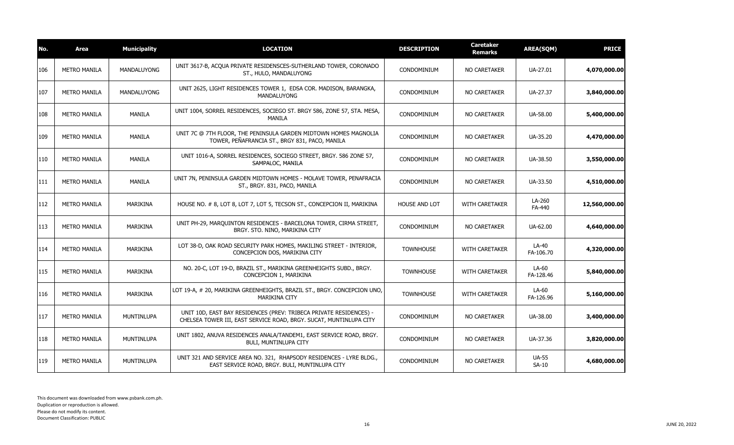| No. | Area                | <b>Municipality</b> | <b>LOCATION</b>                                                                                                                          | <b>DESCRIPTION</b> | <b>Caretaker</b><br><b>Remarks</b> | <b>AREA(SQM)</b>        | <b>PRICE</b>  |
|-----|---------------------|---------------------|------------------------------------------------------------------------------------------------------------------------------------------|--------------------|------------------------------------|-------------------------|---------------|
| 106 | <b>METRO MANILA</b> | <b>MANDALUYONG</b>  | UNIT 3617-B, ACOUA PRIVATE RESIDENSCES-SUTHERLAND TOWER, CORONADO<br>ST., HULO, MANDALUYONG                                              | CONDOMINIUM        | <b>NO CARETAKER</b>                | UA-27.01                | 4,070,000.00  |
| 107 | <b>METRO MANILA</b> | <b>MANDALUYONG</b>  | UNIT 2625, LIGHT RESIDENCES TOWER 1, EDSA COR. MADISON, BARANGKA,<br><b>MANDALUYONG</b>                                                  | CONDOMINIUM        | NO CARETAKER                       | UA-27.37                | 3,840,000.00  |
| 108 | <b>METRO MANILA</b> | <b>MANILA</b>       | UNIT 1004, SORREL RESIDENCES, SOCIEGO ST. BRGY 586, ZONE 57, STA. MESA,<br>MANILA                                                        | <b>CONDOMINIUM</b> | NO CARETAKER                       | UA-58.00                | 5,400,000.00  |
| 109 | <b>METRO MANILA</b> | <b>MANILA</b>       | UNIT 7C @ 7TH FLOOR, THE PENINSULA GARDEN MIDTOWN HOMES MAGNOLIA<br>TOWER, PEÑAFRANCIA ST., BRGY 831, PACO, MANILA                       | CONDOMINIUM        | NO CARETAKER                       | UA-35.20                | 4,470,000.00  |
| 110 | <b>METRO MANILA</b> | <b>MANILA</b>       | UNIT 1016-A, SORREL RESIDENCES, SOCIEGO STREET, BRGY. 586 ZONE 57,<br>SAMPALOC, MANILA                                                   | <b>CONDOMINIUM</b> | NO CARETAKER                       | UA-38.50                | 3,550,000.00  |
| 111 | <b>METRO MANILA</b> | <b>MANILA</b>       | UNIT 7N, PENINSULA GARDEN MIDTOWN HOMES - MOLAVE TOWER, PENAFRACIA<br>ST., BRGY. 831, PACO, MANILA                                       | CONDOMINIUM        | NO CARETAKER                       | UA-33.50                | 4,510,000.00  |
| 112 | <b>METRO MANILA</b> | MARIKINA            | HOUSE NO. # 8, LOT 8, LOT 7, LOT 5, TECSON ST., CONCEPCION II, MARIKINA                                                                  | HOUSE AND LOT      | WITH CARETAKER                     | LA-260<br>FA-440        | 12,560,000.00 |
| 113 | <b>METRO MANILA</b> | MARIKINA            | UNIT PH-29, MAROUINTON RESIDENCES - BARCELONA TOWER, CIRMA STREET,<br>BRGY. STO. NINO, MARIKINA CITY                                     | CONDOMINIUM        | NO CARETAKER                       | UA-62.00                | 4,640,000.00  |
| 114 | <b>METRO MANILA</b> | MARIKINA            | LOT 38-D, OAK ROAD SECURITY PARK HOMES, MAKILING STREET - INTERIOR,<br>CONCEPCION DOS, MARIKINA CITY                                     | <b>TOWNHOUSE</b>   | WITH CARETAKER                     | LA-40<br>FA-106.70      | 4,320,000.00  |
| 115 | <b>METRO MANILA</b> | MARIKINA            | NO. 20-C, LOT 19-D, BRAZIL ST., MARIKINA GREENHEIGHTS SUBD., BRGY.<br>CONCEPCION 1, MARIKINA                                             | <b>TOWNHOUSE</b>   | WITH CARETAKER                     | LA-60<br>FA-128.46      | 5,840,000.00  |
| 116 | <b>METRO MANILA</b> | MARIKINA            | LOT 19-A, # 20, MARIKINA GREENHEIGHTS, BRAZIL ST., BRGY. CONCEPCION UNO,<br><b>MARIKINA CITY</b>                                         | <b>TOWNHOUSE</b>   | <b>WITH CARETAKER</b>              | LA-60<br>FA-126.96      | 5,160,000.00  |
| 117 | <b>METRO MANILA</b> | MUNTINLUPA          | UNIT 10D, EAST BAY RESIDENCES (PREV: TRIBECA PRIVATE RESIDENCES) -<br>CHELSEA TOWER III, EAST SERVICE ROAD, BRGY. SUCAT, MUNTINLUPA CITY | CONDOMINIUM        | NO CARETAKER                       | UA-38.00                | 3,400,000.00  |
| 118 | <b>METRO MANILA</b> | <b>MUNTINLUPA</b>   | UNIT 1802, ANUVA RESIDENCES ANALA/TANDEM1, EAST SERVICE ROAD, BRGY.<br>BULI, MUNTINLUPA CITY                                             | CONDOMINIUM        | NO CARETAKER                       | UA-37.36                | 3,820,000.00  |
| 119 | <b>METRO MANILA</b> | <b>MUNTINLUPA</b>   | UNIT 321 AND SERVICE AREA NO. 321, RHAPSODY RESIDENCES - LYRE BLDG.,<br>EAST SERVICE ROAD, BRGY. BULI, MUNTINLUPA CITY                   | CONDOMINIUM        | <b>NO CARETAKER</b>                | <b>UA-55</b><br>$SA-10$ | 4,680,000.00  |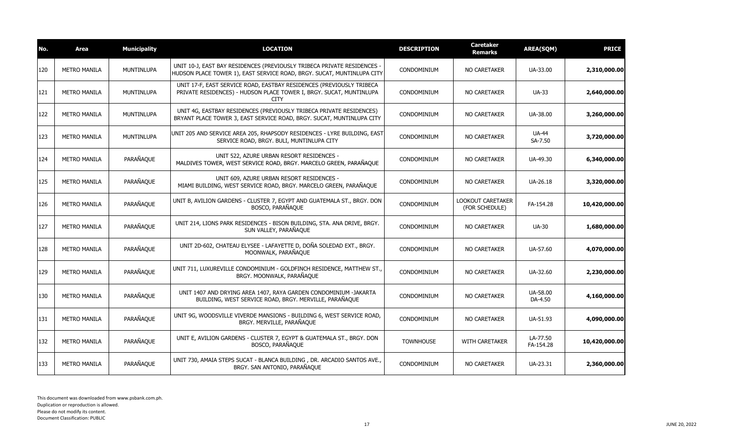| No. | Area                | <b>Municipality</b> | <b>LOCATION</b>                                                                                                                                            | <b>DESCRIPTION</b> | <b>Caretaker</b><br>Remarks                | <b>AREA(SQM)</b>        | <b>PRICE</b>  |
|-----|---------------------|---------------------|------------------------------------------------------------------------------------------------------------------------------------------------------------|--------------------|--------------------------------------------|-------------------------|---------------|
| 120 | <b>METRO MANILA</b> | <b>MUNTINLUPA</b>   | UNIT 10-J, EAST BAY RESIDENCES (PREVIOUSLY TRIBECA PRIVATE RESIDENCES -<br>HUDSON PLACE TOWER 1), EAST SERVICE ROAD, BRGY. SUCAT, MUNTINLUPA CITY          | CONDOMINIUM        | NO CARETAKER                               | UA-33.00                | 2,310,000.00  |
| 121 | <b>METRO MANILA</b> | <b>MUNTINLUPA</b>   | UNIT 17-F, EAST SERVICE ROAD, EASTBAY RESIDENCES (PREVIOUSLY TRIBECA<br>PRIVATE RESIDENCES) - HUDSON PLACE TOWER I, BRGY. SUCAT, MUNTINLUPA<br><b>CITY</b> | CONDOMINIUM        | <b>NO CARETAKER</b>                        | <b>UA-33</b>            | 2,640,000.00  |
| 122 | <b>METRO MANILA</b> | <b>MUNTINLUPA</b>   | UNIT 4G, EASTBAY RESIDENCES (PREVIOUSLY TRIBECA PRIVATE RESIDENCES)<br>BRYANT PLACE TOWER 3, EAST SERVICE ROAD, BRGY. SUCAT, MUNTINLUPA CITY               | CONDOMINIUM        | NO CARETAKER                               | UA-38.00                | 3,260,000.00  |
| 123 | <b>METRO MANILA</b> | MUNTINLUPA          | UNIT 205 AND SERVICE AREA 205, RHAPSODY RESIDENCES - LYRE BUILDING, EAST<br>SERVICE ROAD, BRGY. BULI, MUNTINLUPA CITY                                      | CONDOMINIUM        | <b>NO CARETAKER</b>                        | <b>UA-44</b><br>SA-7.50 | 3,720,000.00  |
| 124 | <b>METRO MANILA</b> | PARAÑAQUE           | UNIT 522, AZURE URBAN RESORT RESIDENCES -<br>MALDIVES TOWER, WEST SERVICE ROAD, BRGY. MARCELO GREEN, PARAÑAQUE                                             | CONDOMINIUM        | NO CARETAKER                               | UA-49.30                | 6,340,000.00  |
| 125 | <b>METRO MANILA</b> | PARAÑAQUE           | UNIT 609, AZURE URBAN RESORT RESIDENCES -<br>MIAMI BUILDING, WEST SERVICE ROAD, BRGY. MARCELO GREEN, PARAÑAQUE                                             | CONDOMINIUM        | NO CARETAKER                               | UA-26.18                | 3,320,000.00  |
| 126 | <b>METRO MANILA</b> | PARAÑAQUE           | UNIT B, AVILION GARDENS - CLUSTER 7, EGYPT AND GUATEMALA ST., BRGY. DON<br>BOSCO, PARAÑAQUE                                                                | CONDOMINIUM        | <b>LOOKOUT CARETAKER</b><br>(FOR SCHEDULE) | FA-154.28               | 10,420,000.00 |
| 127 | <b>METRO MANILA</b> | PARAÑAQUE           | UNIT 214, LIONS PARK RESIDENCES - BISON BUILDING, STA. ANA DRIVE, BRGY.<br>SUN VALLEY, PARAÑAQUE                                                           | CONDOMINIUM        | <b>NO CARETAKER</b>                        | <b>UA-30</b>            | 1,680,000.00  |
| 128 | <b>METRO MANILA</b> | PARAÑAQUE           | UNIT 2D-602, CHATEAU ELYSEE - LAFAYETTE D, DOÑA SOLEDAD EXT., BRGY.<br>MOONWALK, PARAÑAQUE                                                                 | CONDOMINIUM        | <b>NO CARETAKER</b>                        | UA-57.60                | 4,070,000.00  |
| 129 | <b>METRO MANILA</b> | PARAÑAQUE           | UNIT 711, LUXUREVILLE CONDOMINIUM - GOLDFINCH RESIDENCE, MATTHEW ST.,<br>BRGY. MOONWALK, PARAÑAQUE                                                         | CONDOMINIUM        | <b>NO CARETAKER</b>                        | UA-32.60                | 2,230,000.00  |
| 130 | <b>METRO MANILA</b> | PARAÑAQUE           | UNIT 1407 AND DRYING AREA 1407, RAYA GARDEN CONDOMINIUM -JAKARTA<br>BUILDING, WEST SERVICE ROAD, BRGY. MERVILLE, PARAÑAQUE                                 | CONDOMINIUM        | <b>NO CARETAKER</b>                        | UA-58.00<br>DA-4.50     | 4,160,000.00  |
| 131 | <b>METRO MANILA</b> | PARAÑAQUE           | UNIT 9G, WOODSVILLE VIVERDE MANSIONS - BUILDING 6, WEST SERVICE ROAD,<br>BRGY. MERVILLE, PARAÑAQUE                                                         | CONDOMINIUM        | NO CARETAKER                               | UA-51.93                | 4,090,000.00  |
| 132 | <b>METRO MANILA</b> | PARAÑAQUE           | UNIT E, AVILION GARDENS - CLUSTER 7, EGYPT & GUATEMALA ST., BRGY. DON<br>BOSCO, PARAÑAQUE                                                                  | <b>TOWNHOUSE</b>   | <b>WITH CARETAKER</b>                      | LA-77.50<br>FA-154.28   | 10,420,000.00 |
| 133 | <b>METRO MANILA</b> | PARAÑAQUE           | UNIT 730, AMAIA STEPS SUCAT - BLANCA BUILDING, DR. ARCADIO SANTOS AVE.,<br>BRGY. SAN ANTONIO, PARAÑAQUE                                                    | CONDOMINIUM        | NO CARETAKER                               | UA-23.31                | 2,360,000.00  |
|     |                     |                     |                                                                                                                                                            |                    |                                            |                         |               |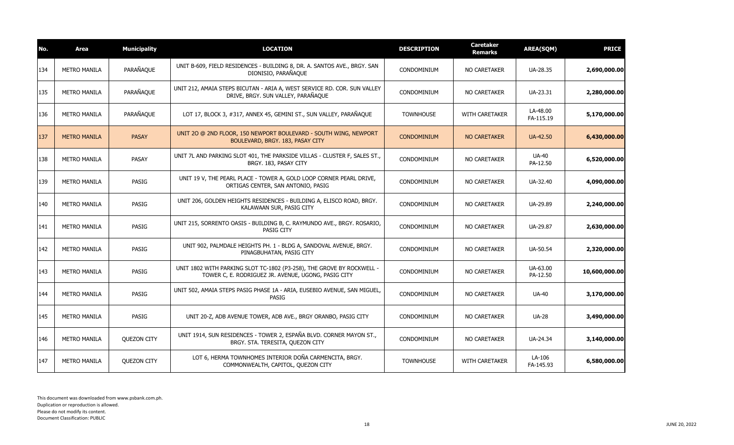| No. | <b>Area</b>         | <b>Municipality</b> | <b>LOCATION</b>                                                                                                              | <b>DESCRIPTION</b> | <b>Caretaker</b><br>Remarks | <b>AREA(SQM)</b>         | <b>PRICE</b>  |
|-----|---------------------|---------------------|------------------------------------------------------------------------------------------------------------------------------|--------------------|-----------------------------|--------------------------|---------------|
| 134 | <b>METRO MANILA</b> | PARAÑAQUE           | UNIT B-609, FIELD RESIDENCES - BUILDING 8, DR. A. SANTOS AVE., BRGY. SAN<br>DIONISIO, PARAÑAQUE                              | CONDOMINIUM        | <b>NO CARETAKER</b>         | UA-28.35                 | 2,690,000.00  |
| 135 | <b>METRO MANILA</b> | PARAÑAQUE           | UNIT 212, AMAIA STEPS BICUTAN - ARIA A, WEST SERVICE RD. COR. SUN VALLEY<br>DRIVE, BRGY. SUN VALLEY, PARAÑAQUE               | CONDOMINIUM        | NO CARETAKER                | UA-23.31                 | 2,280,000.00  |
| 136 | <b>METRO MANILA</b> | PARAÑAQUE           | LOT 17, BLOCK 3, #317, ANNEX 45, GEMINI ST., SUN VALLEY, PARAÑAQUE                                                           | <b>TOWNHOUSE</b>   | <b>WITH CARETAKER</b>       | LA-48.00<br>FA-115.19    | 5,170,000.00  |
| 137 | <b>METRO MANILA</b> | <b>PASAY</b>        | UNIT 20 @ 2ND FLOOR, 150 NEWPORT BOULEVARD - SOUTH WING, NEWPORT<br>BOULEVARD, BRGY. 183, PASAY CITY                         | <b>CONDOMINIUM</b> | NO CARETAKER                | UA-42.50                 | 6,430,000.00  |
| 138 | <b>METRO MANILA</b> | <b>PASAY</b>        | UNIT 7L AND PARKING SLOT 401, THE PARKSIDE VILLAS - CLUSTER F, SALES ST.,<br>BRGY. 183, PASAY CITY                           | CONDOMINIUM        | NO CARETAKER                | <b>UA-40</b><br>PA-12.50 | 6,520,000.00  |
| 139 | <b>METRO MANILA</b> | <b>PASIG</b>        | UNIT 19 V, THE PEARL PLACE - TOWER A, GOLD LOOP CORNER PEARL DRIVE,<br>ORTIGAS CENTER, SAN ANTONIO, PASIG                    | CONDOMINIUM        | NO CARETAKER                | UA-32.40                 | 4,090,000.00  |
| 140 | <b>METRO MANILA</b> | <b>PASIG</b>        | UNIT 206, GOLDEN HEIGHTS RESIDENCES - BUILDING A, ELISCO ROAD, BRGY.<br>KALAWAAN SUR, PASIG CITY                             | CONDOMINIUM        | NO CARETAKER                | UA-29.89                 | 2,240,000.00  |
| 141 | <b>METRO MANILA</b> | PASIG               | UNIT 215, SORRENTO OASIS - BUILDING B, C. RAYMUNDO AVE., BRGY. ROSARIO,<br><b>PASIG CITY</b>                                 | CONDOMINIUM        | NO CARETAKER                | UA-29.87                 | 2,630,000.00  |
| 142 | <b>METRO MANILA</b> | PASIG               | UNIT 902, PALMDALE HEIGHTS PH. 1 - BLDG A, SANDOVAL AVENUE, BRGY.<br>PINAGBUHATAN, PASIG CITY                                | CONDOMINIUM        | NO CARETAKER                | UA-50.54                 | 2,320,000.00  |
| 143 | <b>METRO MANILA</b> | <b>PASIG</b>        | UNIT 1802 WITH PARKING SLOT TC-1802 (P3-258), THE GROVE BY ROCKWELL -<br>TOWER C, E. RODRIGUEZ JR. AVENUE, UGONG, PASIG CITY | CONDOMINIUM        | NO CARETAKER                | UA-63.00<br>PA-12.50     | 10,600,000.00 |
| 144 | <b>METRO MANILA</b> | <b>PASIG</b>        | UNIT 502, AMAIA STEPS PASIG PHASE 1A - ARIA, EUSEBIO AVENUE, SAN MIGUEL,<br>PASIG                                            | CONDOMINIUM        | NO CARETAKER                | <b>UA-40</b>             | 3,170,000.00  |
| 145 | <b>METRO MANILA</b> | PASIG               | UNIT 20-Z, ADB AVENUE TOWER, ADB AVE., BRGY ORANBO, PASIG CITY                                                               | CONDOMINIUM        | NO CARETAKER                | <b>UA-28</b>             | 3,490,000.00  |
| 146 | <b>METRO MANILA</b> | <b>OUEZON CITY</b>  | UNIT 1914, SUN RESIDENCES - TOWER 2, ESPAÑA BLVD. CORNER MAYON ST.,<br>BRGY. STA. TERESITA, QUEZON CITY                      | CONDOMINIUM        | NO CARETAKER                | UA-24.34                 | 3,140,000.00  |
| 147 | <b>METRO MANILA</b> | <b>OUEZON CITY</b>  | LOT 6, HERMA TOWNHOMES INTERIOR DOÑA CARMENCITA, BRGY.<br>COMMONWEALTH, CAPITOL, QUEZON CITY                                 | <b>TOWNHOUSE</b>   | <b>WITH CARETAKER</b>       | LA-106<br>FA-145.93      | 6,580,000.00  |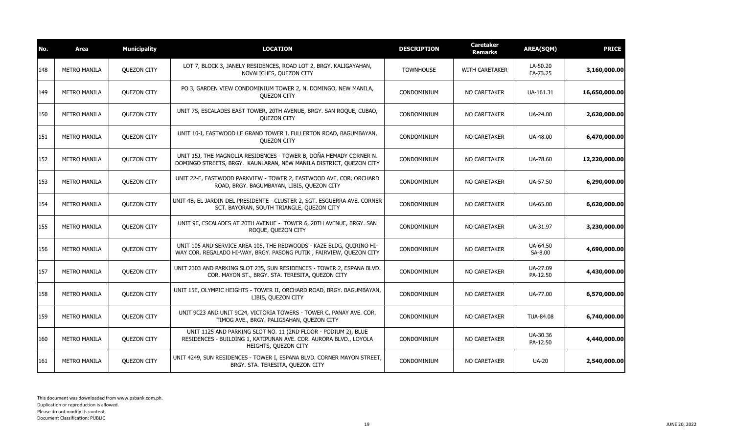| No. | <b>Area</b>         | <b>Municipality</b> | <b>LOCATION</b>                                                                                                                                             | <b>DESCRIPTION</b> | <b>Caretaker</b><br>Remarks | <b>AREA(SQM)</b>     | <b>PRICE</b>  |
|-----|---------------------|---------------------|-------------------------------------------------------------------------------------------------------------------------------------------------------------|--------------------|-----------------------------|----------------------|---------------|
| 148 | <b>METRO MANILA</b> | <b>QUEZON CITY</b>  | LOT 7, BLOCK 3, JANELY RESIDENCES, ROAD LOT 2, BRGY. KALIGAYAHAN,<br>NOVALICHES, QUEZON CITY                                                                | <b>TOWNHOUSE</b>   | WITH CARETAKER              | LA-50.20<br>FA-73.25 | 3,160,000.00  |
| 149 | <b>METRO MANILA</b> | <b>OUEZON CITY</b>  | PO 3, GARDEN VIEW CONDOMINIUM TOWER 2, N. DOMINGO, NEW MANILA,<br><b>OUEZON CITY</b>                                                                        | CONDOMINIUM        | NO CARETAKER                | UA-161.31            | 16,650,000.00 |
| 150 | <b>METRO MANILA</b> | <b>OUEZON CITY</b>  | UNIT 7S, ESCALADES EAST TOWER, 20TH AVENUE, BRGY. SAN ROQUE, CUBAO,<br><b>QUEZON CITY</b>                                                                   | CONDOMINIUM        | NO CARETAKER                | UA-24.00             | 2,620,000.00  |
| 151 | <b>METRO MANILA</b> | QUEZON CITY         | UNIT 10-I, EASTWOOD LE GRAND TOWER I, FULLERTON ROAD, BAGUMBAYAN,<br><b>QUEZON CITY</b>                                                                     | CONDOMINIUM        | <b>NO CARETAKER</b>         | UA-48.00             | 6,470,000.00  |
| 152 | <b>METRO MANILA</b> | <b>OUEZON CITY</b>  | UNIT 15J, THE MAGNOLIA RESIDENCES - TOWER B, DOÑA HEMADY CORNER N.<br>DOMINGO STREETS, BRGY. KAUNLARAN, NEW MANILA DISTRICT, QUEZON CITY                    | CONDOMINIUM        | NO CARETAKER                | UA-78.60             | 12,220,000.00 |
| 153 | <b>METRO MANILA</b> | QUEZON CITY         | UNIT 22-E, EASTWOOD PARKVIEW - TOWER 2, EASTWOOD AVE. COR. ORCHARD<br>ROAD, BRGY. BAGUMBAYAN, LIBIS, QUEZON CITY                                            | CONDOMINIUM        | NO CARETAKER                | UA-57.50             | 6,290,000.00  |
| 154 | <b>METRO MANILA</b> | <b>OUEZON CITY</b>  | UNIT 4B, EL JARDIN DEL PRESIDENTE - CLUSTER 2, SGT. ESGUERRA AVE. CORNER<br>SCT. BAYORAN, SOUTH TRIANGLE, QUEZON CITY                                       | CONDOMINIUM        | NO CARETAKER                | UA-65.00             | 6,620,000.00  |
| 155 | <b>METRO MANILA</b> | <b>OUEZON CITY</b>  | UNIT 9E, ESCALADES AT 20TH AVENUE - TOWER 6, 20TH AVENUE, BRGY. SAN<br>ROQUE, QUEZON CITY                                                                   | CONDOMINIUM        | NO CARETAKER                | UA-31.97             | 3,230,000.00  |
| 156 | <b>METRO MANILA</b> | <b>QUEZON CITY</b>  | UNIT 105 AND SERVICE AREA 105, THE REDWOODS - KAZE BLDG, QUIRINO HI-<br>WAY COR. REGALADO HI-WAY, BRGY. PASONG PUTIK, FAIRVIEW, OUEZON CITY                 | CONDOMINIUM        | NO CARETAKER                | UA-64.50<br>SA-8.00  | 4,690,000.00  |
| 157 | <b>METRO MANILA</b> | <b>OUEZON CITY</b>  | UNIT 2303 AND PARKING SLOT 235, SUN RESIDENCES - TOWER 2, ESPANA BLVD.<br>COR. MAYON ST., BRGY. STA. TERESITA, QUEZON CITY                                  | CONDOMINIUM        | NO CARETAKER                | UA-27.09<br>PA-12.50 | 4,430,000.00  |
| 158 | <b>METRO MANILA</b> | QUEZON CITY         | UNIT 15E, OLYMPIC HEIGHTS - TOWER II, ORCHARD ROAD, BRGY. BAGUMBAYAN,<br>LIBIS, QUEZON CITY                                                                 | CONDOMINIUM        | NO CARETAKER                | UA-77.00             | 6,570,000.00  |
| 159 | <b>METRO MANILA</b> | <b>OUEZON CITY</b>  | UNIT 9C23 AND UNIT 9C24, VICTORIA TOWERS - TOWER C, PANAY AVE. COR.<br>TIMOG AVE., BRGY. PALIGSAHAN, QUEZON CITY                                            | CONDOMINIUM        | NO CARETAKER                | TUA-84.08            | 6,740,000.00  |
| 160 | <b>METRO MANILA</b> | <b>QUEZON CITY</b>  | UNIT 1125 AND PARKING SLOT NO. 11 (2ND FLOOR - PODIUM 2), BLUE<br>RESIDENCES - BUILDING 1, KATIPUNAN AVE. COR. AURORA BLVD., LOYOLA<br>HEIGHTS, QUEZON CITY | CONDOMINIUM        | NO CARETAKER                | UA-30.36<br>PA-12.50 | 4,440,000.00  |
| 161 | <b>METRO MANILA</b> | <b>OUEZON CITY</b>  | UNIT 4249, SUN RESIDENCES - TOWER I, ESPANA BLVD. CORNER MAYON STREET,<br>BRGY. STA. TERESITA, QUEZON CITY                                                  | CONDOMINIUM        | NO CARETAKER                | <b>UA-20</b>         | 2,540,000.00  |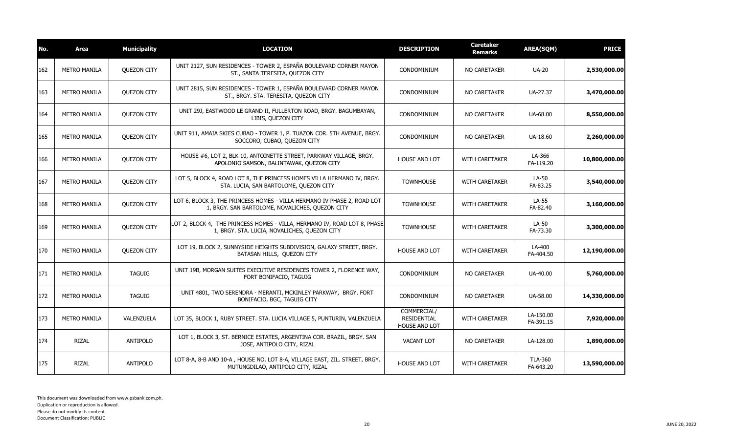| No. | Area                | <b>Municipality</b> | <b>LOCATION</b>                                                                                                            | <b>DESCRIPTION</b>                                 | <b>Caretaker</b><br>Remarks | <b>AREA(SQM)</b>            | <b>PRICE</b>  |
|-----|---------------------|---------------------|----------------------------------------------------------------------------------------------------------------------------|----------------------------------------------------|-----------------------------|-----------------------------|---------------|
| 162 | <b>METRO MANILA</b> | <b>QUEZON CITY</b>  | UNIT 2127, SUN RESIDENCES - TOWER 2, ESPAÑA BOULEVARD CORNER MAYON<br>ST., SANTA TERESITA, QUEZON CITY                     | CONDOMINIUM                                        | NO CARETAKER                | <b>UA-20</b>                | 2,530,000.00  |
| 163 | <b>METRO MANILA</b> | <b>QUEZON CITY</b>  | UNIT 2815, SUN RESIDENCES - TOWER 1, ESPAÑA BOULEVARD CORNER MAYON<br>ST., BRGY. STA. TERESITA, QUEZON CITY                | CONDOMINIUM                                        | NO CARETAKER                | UA-27.37                    | 3,470,000.00  |
| 164 | <b>METRO MANILA</b> | <b>QUEZON CITY</b>  | UNIT 29J, EASTWOOD LE GRAND II, FULLERTON ROAD, BRGY. BAGUMBAYAN,<br>LIBIS, QUEZON CITY                                    | CONDOMINIUM                                        | NO CARETAKER                | UA-68.00                    | 8,550,000.00  |
| 165 | <b>METRO MANILA</b> | <b>QUEZON CITY</b>  | UNIT 911, AMAIA SKIES CUBAO - TOWER 1, P. TUAZON COR. 5TH AVENUE, BRGY.<br>SOCCORO, CUBAO, QUEZON CITY                     | CONDOMINIUM                                        | <b>NO CARETAKER</b>         | UA-18.60                    | 2,260,000.00  |
| 166 | <b>METRO MANILA</b> | <b>OUEZON CITY</b>  | HOUSE #6, LOT 2, BLK 10, ANTOINETTE STREET, PARKWAY VILLAGE, BRGY.<br>APOLONIO SAMSON, BALINTAWAK, QUEZON CITY             | <b>HOUSE AND LOT</b>                               | <b>WITH CARETAKER</b>       | LA-366<br>FA-119.20         | 10,800,000.00 |
| 167 | <b>METRO MANILA</b> | <b>QUEZON CITY</b>  | LOT 5, BLOCK 4, ROAD LOT 8, THE PRINCESS HOMES VILLA HERMANO IV, BRGY.<br>STA. LUCIA, SAN BARTOLOME, QUEZON CITY           | <b>TOWNHOUSE</b>                                   | <b>WITH CARETAKER</b>       | LA-50<br>FA-83.25           | 3,540,000.00  |
| 168 | <b>METRO MANILA</b> | <b>OUEZON CITY</b>  | LOT 6, BLOCK 3, THE PRINCESS HOMES - VILLA HERMANO IV PHASE 2, ROAD LOT<br>1, BRGY. SAN BARTOLOME, NOVALICHES, QUEZON CITY | <b>TOWNHOUSE</b>                                   | <b>WITH CARETAKER</b>       | LA-55<br>FA-82.40           | 3,160,000.00  |
| 169 | <b>METRO MANILA</b> | <b>QUEZON CITY</b>  | LOT 2, BLOCK 4, THE PRINCESS HOMES - VILLA, HERMANO IV, ROAD LOT 8, PHASE<br>1, BRGY. STA. LUCIA, NOVALICHES, QUEZON CITY  | <b>TOWNHOUSE</b>                                   | WITH CARETAKER              | LA-50<br>FA-73.30           | 3,300,000.00  |
| 170 | <b>METRO MANILA</b> | <b>OUEZON CITY</b>  | LOT 19, BLOCK 2, SUNNYSIDE HEIGHTS SUBDIVISION, GALAXY STREET, BRGY.<br>BATASAN HILLS, QUEZON CITY                         | HOUSE AND LOT                                      | <b>WITH CARETAKER</b>       | LA-400<br>FA-404.50         | 12,190,000.00 |
| 171 | <b>METRO MANILA</b> | <b>TAGUIG</b>       | UNIT 19B, MORGAN SUITES EXECUTIVE RESIDENCES TOWER 2, FLORENCE WAY,<br>FORT BONIFACIO, TAGUIG                              | CONDOMINIUM                                        | <b>NO CARETAKER</b>         | UA-40.00                    | 5,760,000.00  |
| 172 | <b>METRO MANILA</b> | <b>TAGUIG</b>       | UNIT 4801, TWO SERENDRA - MERANTI, MCKINLEY PARKWAY, BRGY. FORT<br>BONIFACIO, BGC, TAGUIG CITY                             | CONDOMINIUM                                        | NO CARETAKER                | UA-58.00                    | 14,330,000.00 |
| 173 | <b>METRO MANILA</b> | VALENZUELA          | LOT 35, BLOCK 1, RUBY STREET. STA. LUCIA VILLAGE 5, PUNTURIN, VALENZUELA                                                   | COMMERCIAL/<br><b>RESIDENTIAL</b><br>HOUSE AND LOT | <b>WITH CARETAKER</b>       | LA-150.00<br>FA-391.15      | 7,920,000.00  |
| 174 | RIZAL               | ANTIPOLO            | LOT 1, BLOCK 3, ST. BERNICE ESTATES, ARGENTINA COR. BRAZIL, BRGY. SAN<br>JOSE, ANTIPOLO CITY, RIZAL                        | <b>VACANT LOT</b>                                  | NO CARETAKER                | LA-128.00                   | 1,890,000.00  |
| 175 | RIZAL               | <b>ANTIPOLO</b>     | LOT 8-A, 8-B AND 10-A, HOUSE NO. LOT 8-A, VILLAGE EAST, ZIL. STREET, BRGY.<br>MUTUNGDILAO, ANTIPOLO CITY, RIZAL            | HOUSE AND LOT                                      | <b>WITH CARETAKER</b>       | <b>TLA-360</b><br>FA-643.20 | 13,590,000.00 |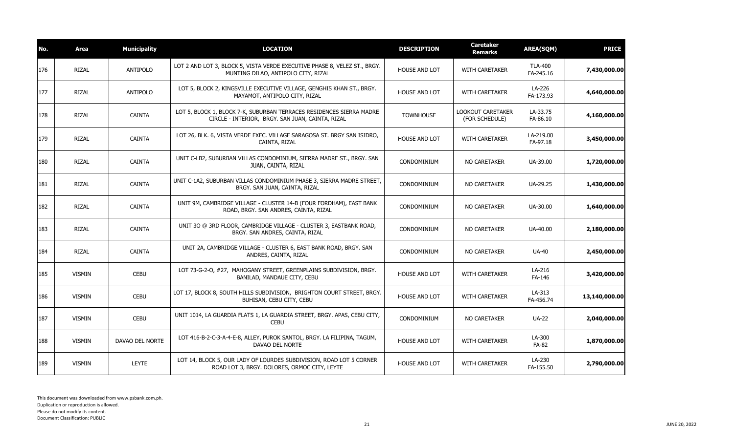| No. | Area          | <b>Municipality</b> | <b>LOCATION</b>                                                                                                          | <b>DESCRIPTION</b>   | <b>Caretaker</b><br>Remarks         | <b>AREA(SQM)</b>            | <b>PRICE</b>  |
|-----|---------------|---------------------|--------------------------------------------------------------------------------------------------------------------------|----------------------|-------------------------------------|-----------------------------|---------------|
| 176 | <b>RIZAL</b>  | ANTIPOLO            | LOT 2 AND LOT 3, BLOCK 5, VISTA VERDE EXECUTIVE PHASE 8, VELEZ ST., BRGY.<br>MUNTING DILAO, ANTIPOLO CITY, RIZAL         | <b>HOUSE AND LOT</b> | <b>WITH CARETAKER</b>               | <b>TLA-400</b><br>FA-245.16 | 7,430,000.00  |
| 177 | RIZAL         | ANTIPOLO            | LOT 5, BLOCK 2, KINGSVILLE EXECUTIVE VILLAGE, GENGHIS KHAN ST., BRGY.<br>MAYAMOT, ANTIPOLO CITY, RIZAL                   | <b>HOUSE AND LOT</b> | WITH CARETAKER                      | LA-226<br>FA-173.93         | 4,640,000.00  |
| 178 | RIZAL         | <b>CAINTA</b>       | LOT 5, BLOCK 1, BLOCK 7-K, SUBURBAN TERRACES RESIDENCES SIERRA MADRE<br>CIRCLE - INTERIOR, BRGY. SAN JUAN, CAINTA, RIZAL | <b>TOWNHOUSE</b>     | LOOKOUT CARETAKER<br>(FOR SCHEDULE) | LA-33.75<br>FA-86.10        | 4,160,000.00  |
| 179 | RIZAL         | <b>CAINTA</b>       | LOT 26, BLK. 6, VISTA VERDE EXEC. VILLAGE SARAGOSA ST. BRGY SAN ISIDRO,<br>CAINTA, RIZAL                                 | HOUSE AND LOT        | <b>WITH CARETAKER</b>               | LA-219.00<br>FA-97.18       | 3,450,000.00  |
| 180 | RIZAL         | <b>CAINTA</b>       | UNIT C-LB2, SUBURBAN VILLAS CONDOMINIUM, SIERRA MADRE ST., BRGY. SAN<br>JUAN, CAINTA, RIZAL                              | CONDOMINIUM          | NO CARETAKER                        | UA-39.00                    | 1,720,000.00  |
| 181 | <b>RIZAL</b>  | <b>CAINTA</b>       | UNIT C-1A2, SUBURBAN VILLAS CONDOMINIUM PHASE 3, SIERRA MADRE STREET,<br>BRGY. SAN JUAN, CAINTA, RIZAL                   | CONDOMINIUM          | NO CARETAKER                        | UA-29.25                    | 1,430,000.00  |
| 182 | RIZAL         | <b>CAINTA</b>       | UNIT 9M, CAMBRIDGE VILLAGE - CLUSTER 14-B (FOUR FORDHAM), EAST BANK<br>ROAD, BRGY. SAN ANDRES, CAINTA, RIZAL             | CONDOMINIUM          | NO CARETAKER                        | UA-30.00                    | 1,640,000.00  |
| 183 | RIZAL         | <b>CAINTA</b>       | UNIT 30 @ 3RD FLOOR, CAMBRIDGE VILLAGE - CLUSTER 3, EASTBANK ROAD,<br>BRGY. SAN ANDRES, CAINTA, RIZAL                    | CONDOMINIUM          | NO CARETAKER                        | UA-40.00                    | 2,180,000.00  |
| 184 | <b>RIZAL</b>  | <b>CAINTA</b>       | UNIT 2A, CAMBRIDGE VILLAGE - CLUSTER 6, EAST BANK ROAD, BRGY. SAN<br>ANDRES, CAINTA, RIZAL                               | CONDOMINIUM          | NO CARETAKER                        | <b>UA-40</b>                | 2,450,000.00  |
| 185 | <b>VISMIN</b> | <b>CEBU</b>         | LOT 73-G-2-O, #27, MAHOGANY STREET, GREENPLAINS SUBDIVISION, BRGY.<br>BANILAD, MANDAUE CITY, CEBU                        | <b>HOUSE AND LOT</b> | <b>WITH CARETAKER</b>               | LA-216<br>FA-146            | 3,420,000.00  |
| 186 | <b>VISMIN</b> | <b>CEBU</b>         | LOT 17, BLOCK 8, SOUTH HILLS SUBDIVISION, BRIGHTON COURT STREET, BRGY.<br>BUHISAN, CEBU CITY, CEBU                       | <b>HOUSE AND LOT</b> | <b>WITH CARETAKER</b>               | LA-313<br>FA-456.74         | 13,140,000.00 |
| 187 | <b>VISMIN</b> | <b>CEBU</b>         | UNIT 1014, LA GUARDIA FLATS 1, LA GUARDIA STREET, BRGY. APAS, CEBU CITY,<br><b>CEBU</b>                                  | CONDOMINIUM          | NO CARETAKER                        | <b>UA-22</b>                | 2,040,000.00  |
| 188 | VISMIN        | DAVAO DEL NORTE     | LOT 416-B-2-C-3-A-4-E-8, ALLEY, PUROK SANTOL, BRGY. LA FILIPINA, TAGUM,<br>DAVAO DEL NORTE                               | <b>HOUSE AND LOT</b> | <b>WITH CARETAKER</b>               | LA-300<br>FA-82             | 1,870,000.00  |
| 189 | <b>VISMIN</b> | <b>LEYTE</b>        | LOT 14, BLOCK 5, OUR LADY OF LOURDES SUBDIVISION, ROAD LOT 5 CORNER<br>ROAD LOT 3, BRGY. DOLORES, ORMOC CITY, LEYTE      | <b>HOUSE AND LOT</b> | <b>WITH CARETAKER</b>               | LA-230<br>FA-155.50         | 2,790,000.00  |